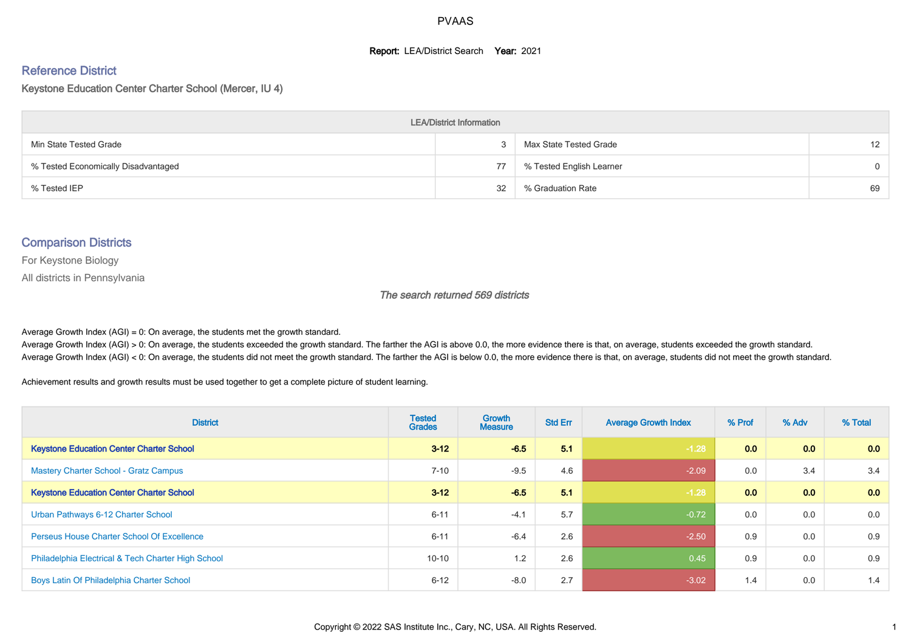#### **Report: LEA/District Search Year: 2021**

# Reference District

#### Keystone Education Center Charter School (Mercer, IU 4)

| <b>LEA/District Information</b>     |    |                          |                   |  |  |  |  |  |  |  |
|-------------------------------------|----|--------------------------|-------------------|--|--|--|--|--|--|--|
| Min State Tested Grade              |    | Max State Tested Grade   | $12 \overline{ }$ |  |  |  |  |  |  |  |
| % Tested Economically Disadvantaged | 77 | % Tested English Learner | $\Omega$          |  |  |  |  |  |  |  |
| % Tested IEP                        | 32 | % Graduation Rate        | 69                |  |  |  |  |  |  |  |

#### Comparison Districts

For Keystone Biology

All districts in Pennsylvania

The search returned 569 districts

Average Growth Index  $(AGI) = 0$ : On average, the students met the growth standard.

Average Growth Index (AGI) > 0: On average, the students exceeded the growth standard. The farther the AGI is above 0.0, the more evidence there is that, on average, students exceeded the growth standard. Average Growth Index (AGI) < 0: On average, the students did not meet the growth standard. The farther the AGI is below 0.0, the more evidence there is that, on average, students did not meet the growth standard.

Achievement results and growth results must be used together to get a complete picture of student learning.

| <b>District</b>                                    | <b>Tested</b><br><b>Grades</b> | <b>Growth</b><br><b>Measure</b> | <b>Std Err</b> | <b>Average Growth Index</b> | % Prof | % Adv            | % Total |
|----------------------------------------------------|--------------------------------|---------------------------------|----------------|-----------------------------|--------|------------------|---------|
| <b>Keystone Education Center Charter School</b>    | $3 - 12$                       | $-6.5$                          | 5.1            | $-1.28$                     | 0.0    | 0.0 <sub>1</sub> | 0.0     |
| <b>Mastery Charter School - Gratz Campus</b>       | $7 - 10$                       | $-9.5$                          | 4.6            | $-2.09$                     | 0.0    | 3.4              | 3.4     |
| <b>Keystone Education Center Charter School</b>    | $3 - 12$                       | $-6.5$                          | 5.1            | $-1.28$                     | 0.0    | 0.0 <sub>1</sub> | 0.0     |
| Urban Pathways 6-12 Charter School                 | $6 - 11$                       | $-4.1$                          | 5.7            | $-0.72$                     | 0.0    | 0.0              | 0.0     |
| <b>Perseus House Charter School Of Excellence</b>  | $6 - 11$                       | $-6.4$                          | 2.6            | $-2.50$                     | 0.9    | 0.0              | 0.9     |
| Philadelphia Electrical & Tech Charter High School | $10 - 10$                      | 1.2                             | 2.6            | 0.45                        | 0.9    | 0.0              | 0.9     |
| Boys Latin Of Philadelphia Charter School          | $6 - 12$                       | $-8.0$                          | 2.7            | $-3.02$                     | 1.4    | 0.0              | 1.4     |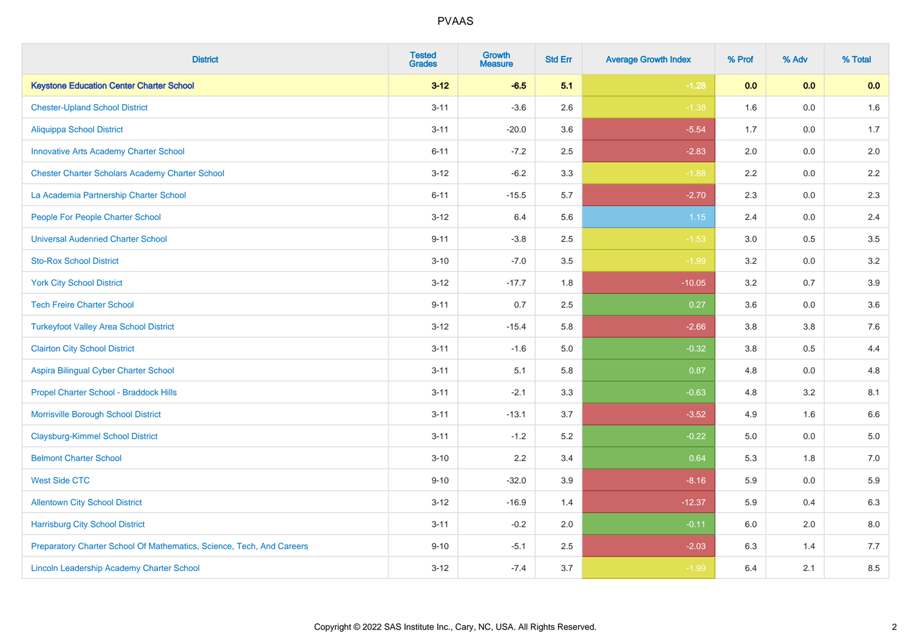| <b>District</b>                                                       | <b>Tested</b><br><b>Grades</b> | Growth<br><b>Measure</b> | <b>Std Err</b> | <b>Average Growth Index</b> | % Prof | % Adv   | % Total |
|-----------------------------------------------------------------------|--------------------------------|--------------------------|----------------|-----------------------------|--------|---------|---------|
| <b>Keystone Education Center Charter School</b>                       | $3 - 12$                       | $-6.5$                   | 5.1            | $-1.28$                     | 0.0    | 0.0     | 0.0     |
| <b>Chester-Upland School District</b>                                 | $3 - 11$                       | $-3.6$                   | 2.6            | $-1.38$                     | 1.6    | 0.0     | 1.6     |
| <b>Aliquippa School District</b>                                      | $3 - 11$                       | $-20.0$                  | 3.6            | $-5.54$                     | 1.7    | $0.0\,$ | 1.7     |
| <b>Innovative Arts Academy Charter School</b>                         | $6 - 11$                       | $-7.2$                   | 2.5            | $-2.83$                     | 2.0    | 0.0     | $2.0\,$ |
| <b>Chester Charter Scholars Academy Charter School</b>                | $3 - 12$                       | $-6.2$                   | 3.3            | $-1.88$                     | 2.2    | 0.0     | 2.2     |
| La Academia Partnership Charter School                                | $6 - 11$                       | $-15.5$                  | 5.7            | $-2.70$                     | 2.3    | 0.0     | 2.3     |
| People For People Charter School                                      | $3 - 12$                       | 6.4                      | 5.6            | 1.15                        | 2.4    | $0.0\,$ | 2.4     |
| <b>Universal Audenried Charter School</b>                             | $9 - 11$                       | $-3.8$                   | 2.5            | $-1.53$                     | 3.0    | 0.5     | $3.5\,$ |
| <b>Sto-Rox School District</b>                                        | $3 - 10$                       | $-7.0$                   | 3.5            | $-1.99$                     | 3.2    | 0.0     | $3.2\,$ |
| <b>York City School District</b>                                      | $3 - 12$                       | $-17.7$                  | 1.8            | $-10.05$                    | 3.2    | 0.7     | $3.9\,$ |
| <b>Tech Freire Charter School</b>                                     | $9 - 11$                       | 0.7                      | 2.5            | 0.27                        | 3.6    | 0.0     | 3.6     |
| <b>Turkeyfoot Valley Area School District</b>                         | $3 - 12$                       | $-15.4$                  | 5.8            | $-2.66$                     | 3.8    | $3.8\,$ | 7.6     |
| <b>Clairton City School District</b>                                  | $3 - 11$                       | $-1.6$                   | 5.0            | $-0.32$                     | 3.8    | 0.5     | 4.4     |
| Aspira Bilingual Cyber Charter School                                 | $3 - 11$                       | 5.1                      | 5.8            | 0.87                        | 4.8    | $0.0\,$ | 4.8     |
| Propel Charter School - Braddock Hills                                | $3 - 11$                       | $-2.1$                   | 3.3            | $-0.63$                     | 4.8    | 3.2     | 8.1     |
| Morrisville Borough School District                                   | $3 - 11$                       | $-13.1$                  | 3.7            | $-3.52$                     | 4.9    | 1.6     | 6.6     |
| <b>Claysburg-Kimmel School District</b>                               | $3 - 11$                       | $-1.2$                   | 5.2            | $-0.22$                     | 5.0    | 0.0     | $5.0\,$ |
| <b>Belmont Charter School</b>                                         | $3 - 10$                       | 2.2                      | 3.4            | 0.64                        | 5.3    | 1.8     | $7.0\,$ |
| <b>West Side CTC</b>                                                  | $9 - 10$                       | $-32.0$                  | 3.9            | $-8.16$                     | 5.9    | 0.0     | 5.9     |
| <b>Allentown City School District</b>                                 | $3 - 12$                       | $-16.9$                  | 1.4            | $-12.37$                    | 5.9    | 0.4     | 6.3     |
| <b>Harrisburg City School District</b>                                | $3 - 11$                       | $-0.2$                   | 2.0            | $-0.11$                     | 6.0    | 2.0     | $8.0\,$ |
| Preparatory Charter School Of Mathematics, Science, Tech, And Careers | $9 - 10$                       | $-5.1$                   | 2.5            | $-2.03$                     | 6.3    | 1.4     | 7.7     |
| Lincoln Leadership Academy Charter School                             | $3 - 12$                       | $-7.4$                   | 3.7            | $-1.99$                     | 6.4    | 2.1     | 8.5     |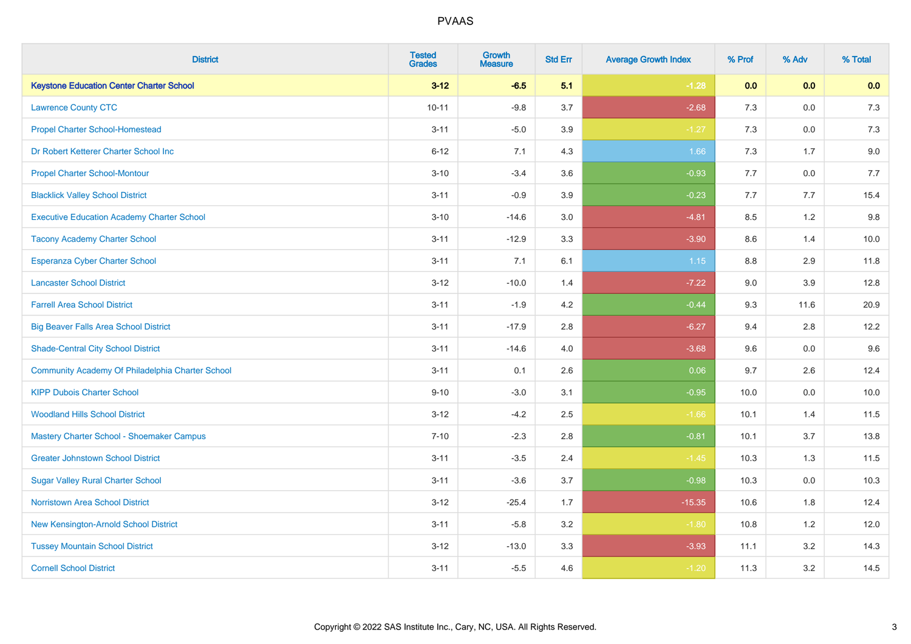| <b>District</b>                                   | <b>Tested</b><br><b>Grades</b> | <b>Growth</b><br><b>Measure</b> | <b>Std Err</b> | <b>Average Growth Index</b> | % Prof | % Adv   | % Total |
|---------------------------------------------------|--------------------------------|---------------------------------|----------------|-----------------------------|--------|---------|---------|
| <b>Keystone Education Center Charter School</b>   | $3 - 12$                       | $-6.5$                          | 5.1            | $-1.28$                     | 0.0    | 0.0     | 0.0     |
| <b>Lawrence County CTC</b>                        | $10 - 11$                      | $-9.8$                          | 3.7            | $-2.68$                     | 7.3    | 0.0     | 7.3     |
| <b>Propel Charter School-Homestead</b>            | $3 - 11$                       | $-5.0$                          | 3.9            | $-1.27$                     | 7.3    | 0.0     | 7.3     |
| Dr Robert Ketterer Charter School Inc             | $6 - 12$                       | 7.1                             | 4.3            | 1.66                        | $7.3$  | 1.7     | 9.0     |
| <b>Propel Charter School-Montour</b>              | $3 - 10$                       | $-3.4$                          | 3.6            | $-0.93$                     | 7.7    | 0.0     | 7.7     |
| <b>Blacklick Valley School District</b>           | $3 - 11$                       | $-0.9$                          | 3.9            | $-0.23$                     | 7.7    | 7.7     | 15.4    |
| <b>Executive Education Academy Charter School</b> | $3 - 10$                       | $-14.6$                         | 3.0            | $-4.81$                     | 8.5    | 1.2     | 9.8     |
| <b>Tacony Academy Charter School</b>              | $3 - 11$                       | $-12.9$                         | 3.3            | $-3.90$                     | 8.6    | 1.4     | 10.0    |
| <b>Esperanza Cyber Charter School</b>             | $3 - 11$                       | 7.1                             | 6.1            | 1.15                        | 8.8    | 2.9     | 11.8    |
| <b>Lancaster School District</b>                  | $3 - 12$                       | $-10.0$                         | 1.4            | $-7.22$                     | 9.0    | 3.9     | 12.8    |
| <b>Farrell Area School District</b>               | $3 - 11$                       | $-1.9$                          | 4.2            | $-0.44$                     | 9.3    | 11.6    | 20.9    |
| <b>Big Beaver Falls Area School District</b>      | $3 - 11$                       | $-17.9$                         | 2.8            | $-6.27$                     | 9.4    | 2.8     | 12.2    |
| <b>Shade-Central City School District</b>         | $3 - 11$                       | $-14.6$                         | 4.0            | $-3.68$                     | 9.6    | 0.0     | 9.6     |
| Community Academy Of Philadelphia Charter School  | $3 - 11$                       | 0.1                             | 2.6            | 0.06                        | 9.7    | 2.6     | 12.4    |
| <b>KIPP Dubois Charter School</b>                 | $9 - 10$                       | $-3.0$                          | 3.1            | $-0.95$                     | 10.0   | 0.0     | 10.0    |
| <b>Woodland Hills School District</b>             | $3 - 12$                       | $-4.2$                          | 2.5            | $-1.66$                     | 10.1   | 1.4     | 11.5    |
| Mastery Charter School - Shoemaker Campus         | $7 - 10$                       | $-2.3$                          | 2.8            | $-0.81$                     | 10.1   | 3.7     | 13.8    |
| <b>Greater Johnstown School District</b>          | $3 - 11$                       | $-3.5$                          | 2.4            | $-1.45$                     | 10.3   | 1.3     | 11.5    |
| <b>Sugar Valley Rural Charter School</b>          | $3 - 11$                       | $-3.6$                          | 3.7            | $-0.98$                     | 10.3   | $0.0\,$ | 10.3    |
| Norristown Area School District                   | $3 - 12$                       | $-25.4$                         | 1.7            | $-15.35$                    | 10.6   | 1.8     | 12.4    |
| New Kensington-Arnold School District             | $3 - 11$                       | $-5.8$                          | 3.2            | $-1.80$                     | 10.8   | 1.2     | 12.0    |
| <b>Tussey Mountain School District</b>            | $3 - 12$                       | $-13.0$                         | 3.3            | $-3.93$                     | 11.1   | 3.2     | 14.3    |
| <b>Cornell School District</b>                    | $3 - 11$                       | $-5.5$                          | 4.6            | $-1.20$                     | 11.3   | 3.2     | 14.5    |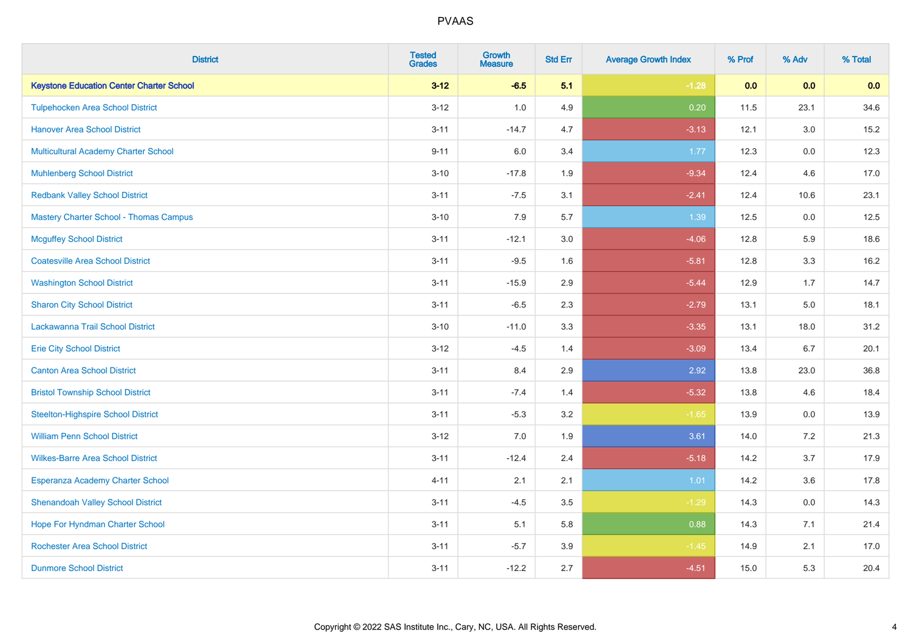| <b>District</b>                                 | <b>Tested</b><br><b>Grades</b> | <b>Growth</b><br><b>Measure</b> | <b>Std Err</b> | <b>Average Growth Index</b> | % Prof | % Adv   | % Total |
|-------------------------------------------------|--------------------------------|---------------------------------|----------------|-----------------------------|--------|---------|---------|
| <b>Keystone Education Center Charter School</b> | $3 - 12$                       | $-6.5$                          | 5.1            | $-1.28$                     | 0.0    | 0.0     | 0.0     |
| <b>Tulpehocken Area School District</b>         | $3 - 12$                       | 1.0                             | 4.9            | 0.20                        | 11.5   | 23.1    | 34.6    |
| <b>Hanover Area School District</b>             | $3 - 11$                       | $-14.7$                         | 4.7            | $-3.13$                     | 12.1   | 3.0     | 15.2    |
| Multicultural Academy Charter School            | $9 - 11$                       | 6.0                             | 3.4            | 1.77                        | 12.3   | $0.0\,$ | 12.3    |
| <b>Muhlenberg School District</b>               | $3 - 10$                       | $-17.8$                         | 1.9            | $-9.34$                     | 12.4   | 4.6     | 17.0    |
| <b>Redbank Valley School District</b>           | $3 - 11$                       | $-7.5$                          | 3.1            | $-2.41$                     | 12.4   | 10.6    | 23.1    |
| <b>Mastery Charter School - Thomas Campus</b>   | $3 - 10$                       | 7.9                             | 5.7            | 1.39                        | 12.5   | 0.0     | 12.5    |
| <b>Mcguffey School District</b>                 | $3 - 11$                       | $-12.1$                         | 3.0            | $-4.06$                     | 12.8   | 5.9     | 18.6    |
| <b>Coatesville Area School District</b>         | $3 - 11$                       | $-9.5$                          | 1.6            | $-5.81$                     | 12.8   | 3.3     | 16.2    |
| <b>Washington School District</b>               | $3 - 11$                       | $-15.9$                         | 2.9            | $-5.44$                     | 12.9   | 1.7     | 14.7    |
| <b>Sharon City School District</b>              | $3 - 11$                       | $-6.5$                          | 2.3            | $-2.79$                     | 13.1   | 5.0     | 18.1    |
| Lackawanna Trail School District                | $3 - 10$                       | $-11.0$                         | 3.3            | $-3.35$                     | 13.1   | 18.0    | 31.2    |
| <b>Erie City School District</b>                | $3 - 12$                       | $-4.5$                          | 1.4            | $-3.09$                     | 13.4   | 6.7     | 20.1    |
| <b>Canton Area School District</b>              | $3 - 11$                       | 8.4                             | 2.9            | 2.92                        | 13.8   | 23.0    | 36.8    |
| <b>Bristol Township School District</b>         | $3 - 11$                       | $-7.4$                          | 1.4            | $-5.32$                     | 13.8   | 4.6     | 18.4    |
| <b>Steelton-Highspire School District</b>       | $3 - 11$                       | $-5.3$                          | 3.2            | $-1.65$                     | 13.9   | 0.0     | 13.9    |
| <b>William Penn School District</b>             | $3 - 12$                       | 7.0                             | 1.9            | 3.61                        | 14.0   | 7.2     | 21.3    |
| <b>Wilkes-Barre Area School District</b>        | $3 - 11$                       | $-12.4$                         | 2.4            | $-5.18$                     | 14.2   | 3.7     | 17.9    |
| Esperanza Academy Charter School                | $4 - 11$                       | 2.1                             | 2.1            | 1.01                        | 14.2   | 3.6     | 17.8    |
| <b>Shenandoah Valley School District</b>        | $3 - 11$                       | $-4.5$                          | 3.5            | $-1.29$                     | 14.3   | 0.0     | 14.3    |
| Hope For Hyndman Charter School                 | $3 - 11$                       | 5.1                             | 5.8            | 0.88                        | 14.3   | 7.1     | 21.4    |
| <b>Rochester Area School District</b>           | $3 - 11$                       | $-5.7$                          | 3.9            | $-1.45$                     | 14.9   | 2.1     | 17.0    |
| <b>Dunmore School District</b>                  | $3 - 11$                       | $-12.2$                         | 2.7            | $-4.51$                     | 15.0   | 5.3     | 20.4    |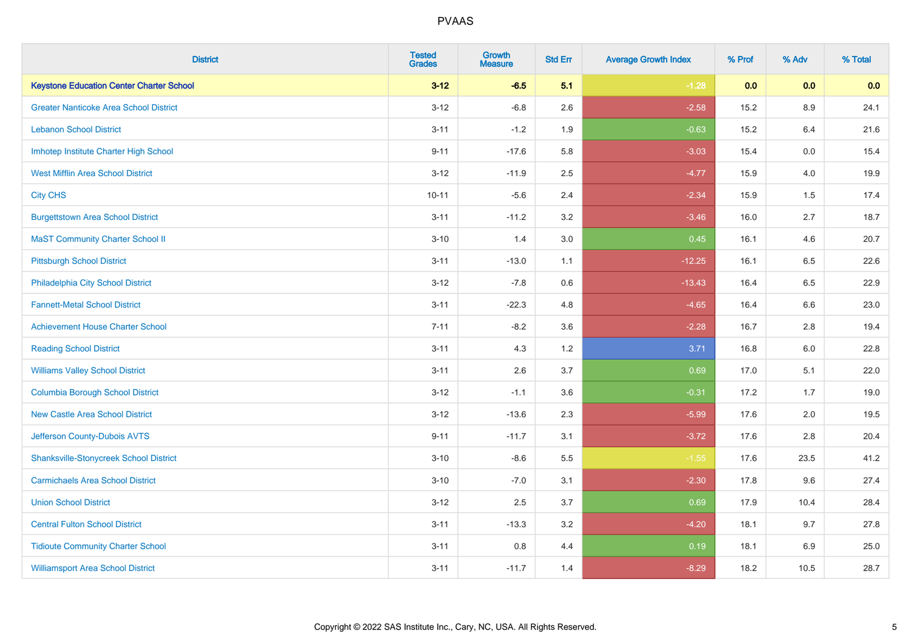| <b>District</b>                                 | <b>Tested</b><br><b>Grades</b> | <b>Growth</b><br><b>Measure</b> | <b>Std Err</b> | <b>Average Growth Index</b> | % Prof | % Adv   | % Total |
|-------------------------------------------------|--------------------------------|---------------------------------|----------------|-----------------------------|--------|---------|---------|
| <b>Keystone Education Center Charter School</b> | $3 - 12$                       | $-6.5$                          | 5.1            | $-1.28$                     | 0.0    | 0.0     | 0.0     |
| <b>Greater Nanticoke Area School District</b>   | $3 - 12$                       | $-6.8$                          | 2.6            | $-2.58$                     | 15.2   | $8.9\,$ | 24.1    |
| <b>Lebanon School District</b>                  | $3 - 11$                       | $-1.2$                          | 1.9            | $-0.63$                     | 15.2   | 6.4     | 21.6    |
| Imhotep Institute Charter High School           | $9 - 11$                       | $-17.6$                         | 5.8            | $-3.03$                     | 15.4   | $0.0\,$ | 15.4    |
| <b>West Mifflin Area School District</b>        | $3 - 12$                       | $-11.9$                         | 2.5            | $-4.77$                     | 15.9   | 4.0     | 19.9    |
| <b>City CHS</b>                                 | $10 - 11$                      | $-5.6$                          | 2.4            | $-2.34$                     | 15.9   | 1.5     | 17.4    |
| <b>Burgettstown Area School District</b>        | $3 - 11$                       | $-11.2$                         | 3.2            | $-3.46$                     | 16.0   | 2.7     | 18.7    |
| <b>MaST Community Charter School II</b>         | $3 - 10$                       | 1.4                             | 3.0            | 0.45                        | 16.1   | 4.6     | 20.7    |
| <b>Pittsburgh School District</b>               | $3 - 11$                       | $-13.0$                         | 1.1            | $-12.25$                    | 16.1   | 6.5     | 22.6    |
| Philadelphia City School District               | $3 - 12$                       | $-7.8$                          | 0.6            | $-13.43$                    | 16.4   | 6.5     | 22.9    |
| <b>Fannett-Metal School District</b>            | $3 - 11$                       | $-22.3$                         | 4.8            | $-4.65$                     | 16.4   | 6.6     | 23.0    |
| <b>Achievement House Charter School</b>         | $7 - 11$                       | $-8.2$                          | 3.6            | $-2.28$                     | 16.7   | 2.8     | 19.4    |
| <b>Reading School District</b>                  | $3 - 11$                       | 4.3                             | 1.2            | 3.71                        | 16.8   | $6.0\,$ | 22.8    |
| <b>Williams Valley School District</b>          | $3 - 11$                       | 2.6                             | 3.7            | 0.69                        | 17.0   | 5.1     | 22.0    |
| <b>Columbia Borough School District</b>         | $3 - 12$                       | $-1.1$                          | 3.6            | $-0.31$                     | 17.2   | 1.7     | 19.0    |
| <b>New Castle Area School District</b>          | $3 - 12$                       | $-13.6$                         | 2.3            | $-5.99$                     | 17.6   | 2.0     | 19.5    |
| Jefferson County-Dubois AVTS                    | $9 - 11$                       | $-11.7$                         | 3.1            | $-3.72$                     | 17.6   | 2.8     | 20.4    |
| <b>Shanksville-Stonycreek School District</b>   | $3 - 10$                       | $-8.6$                          | 5.5            | $-1.55$                     | 17.6   | 23.5    | 41.2    |
| <b>Carmichaels Area School District</b>         | $3 - 10$                       | $-7.0$                          | 3.1            | $-2.30$                     | 17.8   | 9.6     | 27.4    |
| <b>Union School District</b>                    | $3 - 12$                       | 2.5                             | 3.7            | 0.69                        | 17.9   | 10.4    | 28.4    |
| <b>Central Fulton School District</b>           | $3 - 11$                       | $-13.3$                         | 3.2            | $-4.20$                     | 18.1   | 9.7     | 27.8    |
| <b>Tidioute Community Charter School</b>        | $3 - 11$                       | 0.8                             | 4.4            | 0.19                        | 18.1   | $6.9\,$ | 25.0    |
| <b>Williamsport Area School District</b>        | $3 - 11$                       | $-11.7$                         | 1.4            | $-8.29$                     | 18.2   | 10.5    | 28.7    |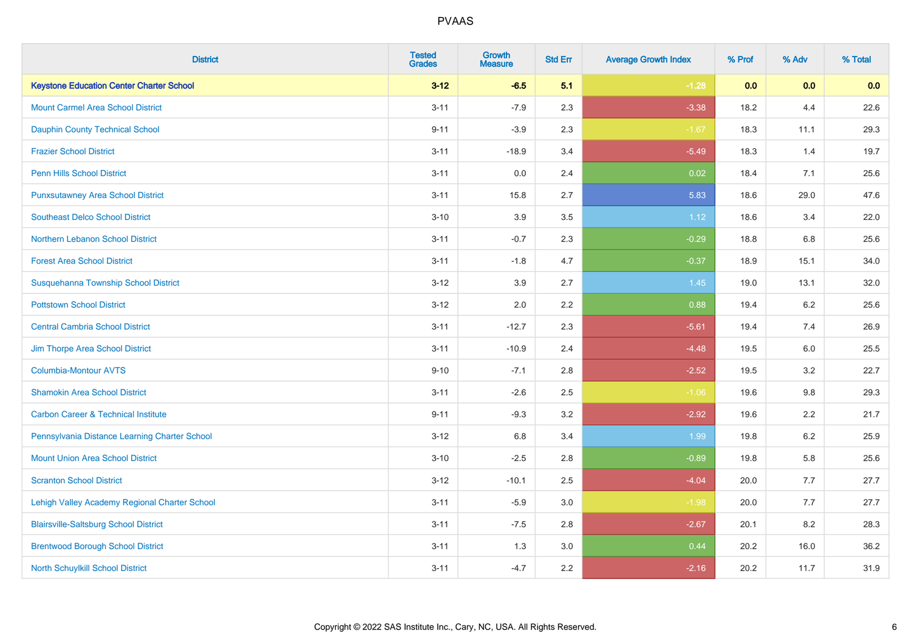| <b>District</b>                                 | <b>Tested</b><br><b>Grades</b> | <b>Growth</b><br><b>Measure</b> | <b>Std Err</b> | <b>Average Growth Index</b> | % Prof | % Adv   | % Total |
|-------------------------------------------------|--------------------------------|---------------------------------|----------------|-----------------------------|--------|---------|---------|
| <b>Keystone Education Center Charter School</b> | $3 - 12$                       | $-6.5$                          | 5.1            | $-1.28$                     | 0.0    | 0.0     | 0.0     |
| <b>Mount Carmel Area School District</b>        | $3 - 11$                       | $-7.9$                          | 2.3            | $-3.38$                     | 18.2   | 4.4     | 22.6    |
| <b>Dauphin County Technical School</b>          | $9 - 11$                       | $-3.9$                          | 2.3            | $-1.67$                     | 18.3   | 11.1    | 29.3    |
| <b>Frazier School District</b>                  | $3 - 11$                       | $-18.9$                         | 3.4            | $-5.49$                     | 18.3   | 1.4     | 19.7    |
| <b>Penn Hills School District</b>               | $3 - 11$                       | 0.0                             | 2.4            | 0.02                        | 18.4   | 7.1     | 25.6    |
| <b>Punxsutawney Area School District</b>        | $3 - 11$                       | 15.8                            | 2.7            | 5.83                        | 18.6   | 29.0    | 47.6    |
| <b>Southeast Delco School District</b>          | $3 - 10$                       | 3.9                             | 3.5            | 1.12                        | 18.6   | 3.4     | 22.0    |
| Northern Lebanon School District                | $3 - 11$                       | $-0.7$                          | 2.3            | $-0.29$                     | 18.8   | 6.8     | 25.6    |
| <b>Forest Area School District</b>              | $3 - 11$                       | $-1.8$                          | 4.7            | $-0.37$                     | 18.9   | 15.1    | 34.0    |
| Susquehanna Township School District            | $3 - 12$                       | 3.9                             | 2.7            | 1.45                        | 19.0   | 13.1    | 32.0    |
| <b>Pottstown School District</b>                | $3 - 12$                       | 2.0                             | 2.2            | 0.88                        | 19.4   | 6.2     | 25.6    |
| <b>Central Cambria School District</b>          | $3 - 11$                       | $-12.7$                         | 2.3            | $-5.61$                     | 19.4   | 7.4     | 26.9    |
| Jim Thorpe Area School District                 | $3 - 11$                       | $-10.9$                         | 2.4            | $-4.48$                     | 19.5   | $6.0\,$ | 25.5    |
| <b>Columbia-Montour AVTS</b>                    | $9 - 10$                       | $-7.1$                          | 2.8            | $-2.52$                     | 19.5   | 3.2     | 22.7    |
| <b>Shamokin Area School District</b>            | $3 - 11$                       | $-2.6$                          | 2.5            | $-1.06$                     | 19.6   | $9.8\,$ | 29.3    |
| <b>Carbon Career &amp; Technical Institute</b>  | $9 - 11$                       | $-9.3$                          | 3.2            | $-2.92$                     | 19.6   | 2.2     | 21.7    |
| Pennsylvania Distance Learning Charter School   | $3 - 12$                       | 6.8                             | 3.4            | 1.99                        | 19.8   | 6.2     | 25.9    |
| <b>Mount Union Area School District</b>         | $3 - 10$                       | $-2.5$                          | 2.8            | $-0.89$                     | 19.8   | 5.8     | 25.6    |
| <b>Scranton School District</b>                 | $3 - 12$                       | $-10.1$                         | 2.5            | $-4.04$                     | 20.0   | 7.7     | 27.7    |
| Lehigh Valley Academy Regional Charter School   | $3 - 11$                       | $-5.9$                          | 3.0            | $-1.98$                     | 20.0   | 7.7     | 27.7    |
| <b>Blairsville-Saltsburg School District</b>    | $3 - 11$                       | $-7.5$                          | 2.8            | $-2.67$                     | 20.1   | 8.2     | 28.3    |
| <b>Brentwood Borough School District</b>        | $3 - 11$                       | 1.3                             | 3.0            | 0.44                        | 20.2   | 16.0    | 36.2    |
| North Schuylkill School District                | $3 - 11$                       | $-4.7$                          | 2.2            | $-2.16$                     | 20.2   | 11.7    | 31.9    |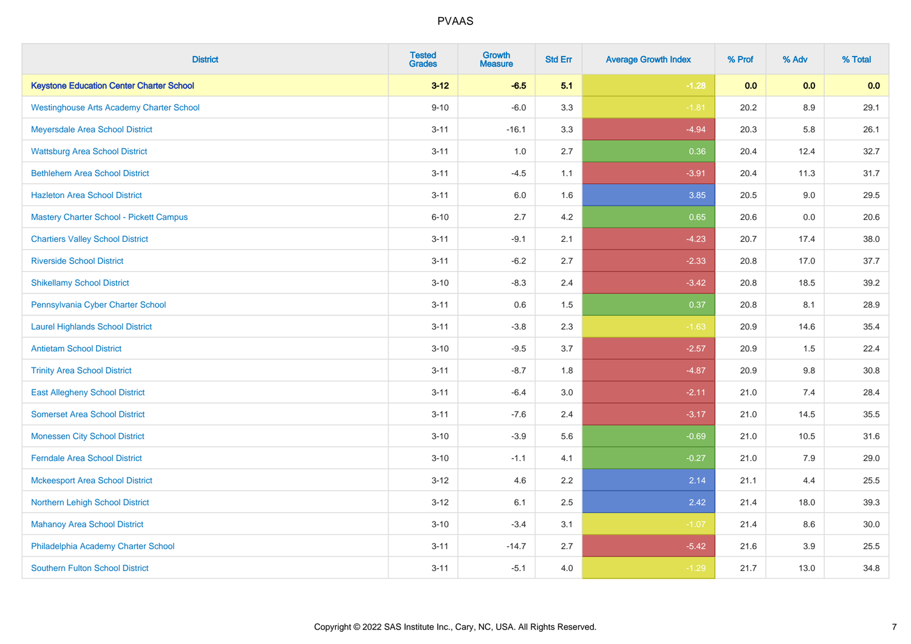| <b>District</b>                                 | <b>Tested</b><br><b>Grades</b> | <b>Growth</b><br><b>Measure</b> | <b>Std Err</b> | <b>Average Growth Index</b> | % Prof | % Adv   | % Total |
|-------------------------------------------------|--------------------------------|---------------------------------|----------------|-----------------------------|--------|---------|---------|
| <b>Keystone Education Center Charter School</b> | $3 - 12$                       | $-6.5$                          | 5.1            | $-1.28$                     | 0.0    | 0.0     | 0.0     |
| <b>Westinghouse Arts Academy Charter School</b> | $9 - 10$                       | $-6.0$                          | 3.3            | $-1.81$                     | 20.2   | $8.9\,$ | 29.1    |
| Meyersdale Area School District                 | $3 - 11$                       | $-16.1$                         | 3.3            | $-4.94$                     | 20.3   | 5.8     | 26.1    |
| <b>Wattsburg Area School District</b>           | $3 - 11$                       | 1.0                             | 2.7            | 0.36                        | 20.4   | 12.4    | 32.7    |
| <b>Bethlehem Area School District</b>           | $3 - 11$                       | $-4.5$                          | 1.1            | $-3.91$                     | 20.4   | 11.3    | 31.7    |
| <b>Hazleton Area School District</b>            | $3 - 11$                       | 6.0                             | 1.6            | 3.85                        | 20.5   | 9.0     | 29.5    |
| <b>Mastery Charter School - Pickett Campus</b>  | $6 - 10$                       | 2.7                             | 4.2            | 0.65                        | 20.6   | 0.0     | 20.6    |
| <b>Chartiers Valley School District</b>         | $3 - 11$                       | $-9.1$                          | 2.1            | $-4.23$                     | 20.7   | 17.4    | 38.0    |
| <b>Riverside School District</b>                | $3 - 11$                       | $-6.2$                          | 2.7            | $-2.33$                     | 20.8   | 17.0    | 37.7    |
| <b>Shikellamy School District</b>               | $3 - 10$                       | $-8.3$                          | 2.4            | $-3.42$                     | 20.8   | 18.5    | 39.2    |
| Pennsylvania Cyber Charter School               | $3 - 11$                       | 0.6                             | 1.5            | 0.37                        | 20.8   | 8.1     | 28.9    |
| <b>Laurel Highlands School District</b>         | $3 - 11$                       | $-3.8$                          | 2.3            | $-1.63$                     | 20.9   | 14.6    | 35.4    |
| <b>Antietam School District</b>                 | $3 - 10$                       | $-9.5$                          | 3.7            | $-2.57$                     | 20.9   | $1.5\,$ | 22.4    |
| <b>Trinity Area School District</b>             | $3 - 11$                       | $-8.7$                          | 1.8            | $-4.87$                     | 20.9   | 9.8     | 30.8    |
| <b>East Allegheny School District</b>           | $3 - 11$                       | $-6.4$                          | 3.0            | $-2.11$                     | 21.0   | 7.4     | 28.4    |
| <b>Somerset Area School District</b>            | $3 - 11$                       | $-7.6$                          | 2.4            | $-3.17$                     | 21.0   | 14.5    | 35.5    |
| <b>Monessen City School District</b>            | $3 - 10$                       | $-3.9$                          | 5.6            | $-0.69$                     | 21.0   | 10.5    | 31.6    |
| <b>Ferndale Area School District</b>            | $3 - 10$                       | $-1.1$                          | 4.1            | $-0.27$                     | 21.0   | 7.9     | 29.0    |
| <b>Mckeesport Area School District</b>          | $3 - 12$                       | 4.6                             | 2.2            | 2.14                        | 21.1   | 4.4     | 25.5    |
| Northern Lehigh School District                 | $3 - 12$                       | 6.1                             | 2.5            | 2.42                        | 21.4   | 18.0    | 39.3    |
| <b>Mahanoy Area School District</b>             | $3 - 10$                       | $-3.4$                          | 3.1            | $-1.07$                     | 21.4   | 8.6     | 30.0    |
| Philadelphia Academy Charter School             | $3 - 11$                       | $-14.7$                         | 2.7            | $-5.42$                     | 21.6   | 3.9     | 25.5    |
| <b>Southern Fulton School District</b>          | $3 - 11$                       | $-5.1$                          | 4.0            | $-1.29$                     | 21.7   | 13.0    | 34.8    |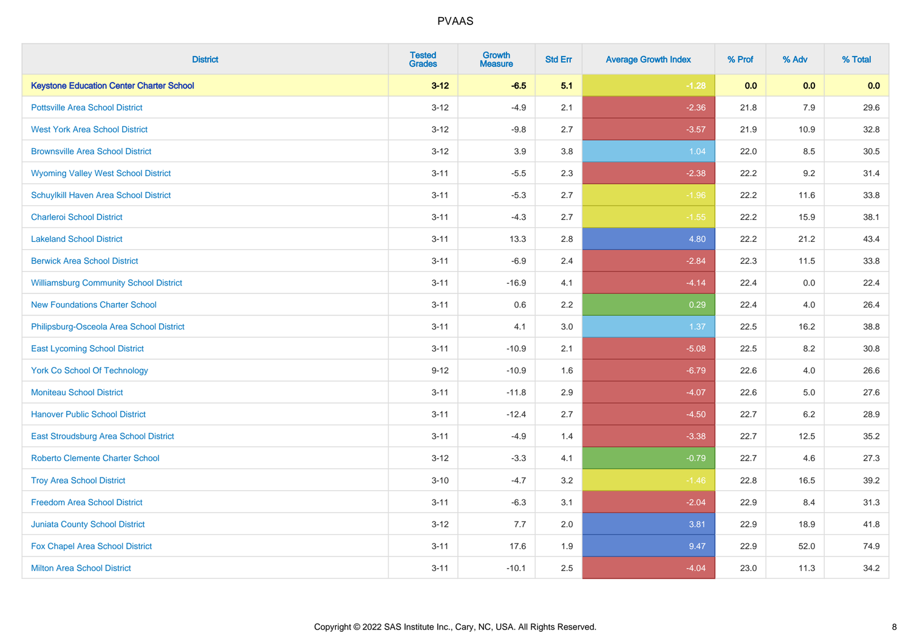| <b>District</b>                                 | <b>Tested</b><br><b>Grades</b> | <b>Growth</b><br><b>Measure</b> | <b>Std Err</b> | <b>Average Growth Index</b> | % Prof | % Adv   | % Total  |
|-------------------------------------------------|--------------------------------|---------------------------------|----------------|-----------------------------|--------|---------|----------|
| <b>Keystone Education Center Charter School</b> | $3 - 12$                       | $-6.5$                          | 5.1            | $-1.28$                     | 0.0    | 0.0     | 0.0      |
| <b>Pottsville Area School District</b>          | $3 - 12$                       | $-4.9$                          | 2.1            | $-2.36$                     | 21.8   | 7.9     | 29.6     |
| <b>West York Area School District</b>           | $3 - 12$                       | $-9.8$                          | 2.7            | $-3.57$                     | 21.9   | 10.9    | 32.8     |
| <b>Brownsville Area School District</b>         | $3 - 12$                       | 3.9                             | 3.8            | 1.04                        | 22.0   | 8.5     | 30.5     |
| <b>Wyoming Valley West School District</b>      | $3 - 11$                       | $-5.5$                          | 2.3            | $-2.38$                     | 22.2   | 9.2     | 31.4     |
| Schuylkill Haven Area School District           | $3 - 11$                       | $-5.3$                          | 2.7            | $-1.96$                     | 22.2   | 11.6    | 33.8     |
| <b>Charleroi School District</b>                | $3 - 11$                       | $-4.3$                          | 2.7            | $-1.55$                     | 22.2   | 15.9    | 38.1     |
| <b>Lakeland School District</b>                 | $3 - 11$                       | 13.3                            | 2.8            | 4.80                        | 22.2   | 21.2    | 43.4     |
| <b>Berwick Area School District</b>             | $3 - 11$                       | $-6.9$                          | 2.4            | $-2.84$                     | 22.3   | 11.5    | 33.8     |
| <b>Williamsburg Community School District</b>   | $3 - 11$                       | $-16.9$                         | 4.1            | $-4.14$                     | 22.4   | 0.0     | 22.4     |
| <b>New Foundations Charter School</b>           | $3 - 11$                       | 0.6                             | 2.2            | 0.29                        | 22.4   | 4.0     | 26.4     |
| Philipsburg-Osceola Area School District        | $3 - 11$                       | 4.1                             | 3.0            | 1.37                        | 22.5   | 16.2    | 38.8     |
| <b>East Lycoming School District</b>            | $3 - 11$                       | $-10.9$                         | 2.1            | $-5.08$                     | 22.5   | $8.2\,$ | $30.8\,$ |
| <b>York Co School Of Technology</b>             | $9 - 12$                       | $-10.9$                         | 1.6            | $-6.79$                     | 22.6   | 4.0     | 26.6     |
| <b>Moniteau School District</b>                 | $3 - 11$                       | $-11.8$                         | 2.9            | $-4.07$                     | 22.6   | 5.0     | 27.6     |
| <b>Hanover Public School District</b>           | $3 - 11$                       | $-12.4$                         | 2.7            | $-4.50$                     | 22.7   | $6.2\,$ | 28.9     |
| East Stroudsburg Area School District           | $3 - 11$                       | $-4.9$                          | 1.4            | $-3.38$                     | 22.7   | 12.5    | 35.2     |
| <b>Roberto Clemente Charter School</b>          | $3 - 12$                       | $-3.3$                          | 4.1            | $-0.79$                     | 22.7   | 4.6     | 27.3     |
| <b>Troy Area School District</b>                | $3 - 10$                       | $-4.7$                          | 3.2            | $-1.46$                     | 22.8   | 16.5    | 39.2     |
| <b>Freedom Area School District</b>             | $3 - 11$                       | $-6.3$                          | 3.1            | $-2.04$                     | 22.9   | 8.4     | 31.3     |
| <b>Juniata County School District</b>           | $3 - 12$                       | 7.7                             | 2.0            | 3.81                        | 22.9   | 18.9    | 41.8     |
| Fox Chapel Area School District                 | $3 - 11$                       | 17.6                            | 1.9            | 9.47                        | 22.9   | 52.0    | 74.9     |
| <b>Milton Area School District</b>              | $3 - 11$                       | $-10.1$                         | 2.5            | $-4.04$                     | 23.0   | 11.3    | 34.2     |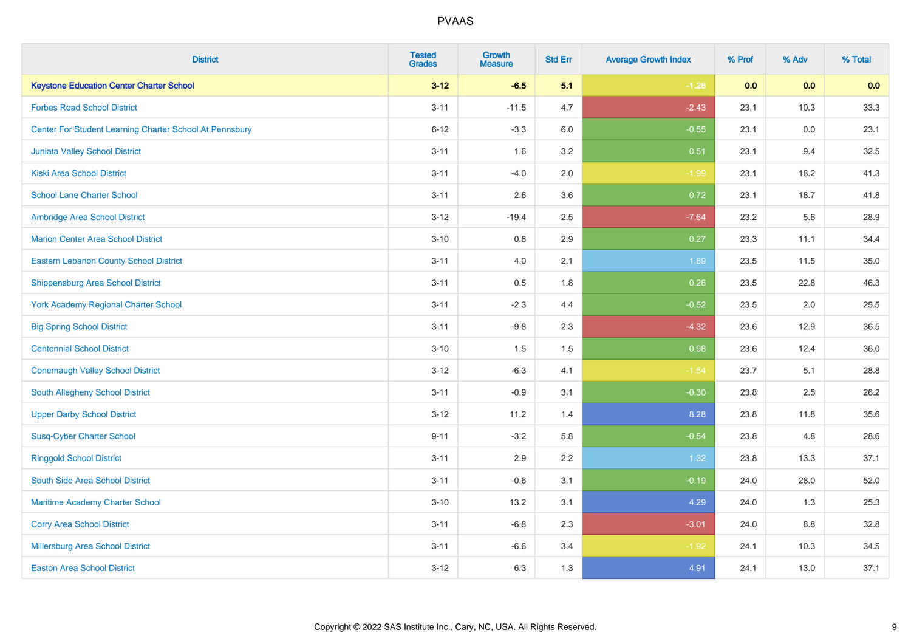| <b>District</b>                                         | <b>Tested</b><br><b>Grades</b> | <b>Growth</b><br><b>Measure</b> | <b>Std Err</b> | <b>Average Growth Index</b> | % Prof | % Adv | % Total |
|---------------------------------------------------------|--------------------------------|---------------------------------|----------------|-----------------------------|--------|-------|---------|
| <b>Keystone Education Center Charter School</b>         | $3 - 12$                       | $-6.5$                          | 5.1            | $-1.28$                     | 0.0    | 0.0   | 0.0     |
| <b>Forbes Road School District</b>                      | $3 - 11$                       | $-11.5$                         | 4.7            | $-2.43$                     | 23.1   | 10.3  | 33.3    |
| Center For Student Learning Charter School At Pennsbury | $6 - 12$                       | $-3.3$                          | 6.0            | $-0.55$                     | 23.1   | 0.0   | 23.1    |
| Juniata Valley School District                          | $3 - 11$                       | 1.6                             | 3.2            | 0.51                        | 23.1   | 9.4   | 32.5    |
| <b>Kiski Area School District</b>                       | $3 - 11$                       | $-4.0$                          | 2.0            | $-1.99$                     | 23.1   | 18.2  | 41.3    |
| <b>School Lane Charter School</b>                       | $3 - 11$                       | 2.6                             | 3.6            | 0.72                        | 23.1   | 18.7  | 41.8    |
| Ambridge Area School District                           | $3 - 12$                       | $-19.4$                         | 2.5            | $-7.64$                     | 23.2   | 5.6   | 28.9    |
| <b>Marion Center Area School District</b>               | $3 - 10$                       | 0.8                             | 2.9            | 0.27                        | 23.3   | 11.1  | 34.4    |
| <b>Eastern Lebanon County School District</b>           | $3 - 11$                       | 4.0                             | 2.1            | 1.89                        | 23.5   | 11.5  | 35.0    |
| <b>Shippensburg Area School District</b>                | $3 - 11$                       | 0.5                             | 1.8            | 0.26                        | 23.5   | 22.8  | 46.3    |
| <b>York Academy Regional Charter School</b>             | $3 - 11$                       | $-2.3$                          | 4.4            | $-0.52$                     | 23.5   | 2.0   | 25.5    |
| <b>Big Spring School District</b>                       | $3 - 11$                       | $-9.8$                          | 2.3            | $-4.32$                     | 23.6   | 12.9  | 36.5    |
| <b>Centennial School District</b>                       | $3 - 10$                       | 1.5                             | $1.5\,$        | 0.98                        | 23.6   | 12.4  | 36.0    |
| <b>Conemaugh Valley School District</b>                 | $3 - 12$                       | $-6.3$                          | 4.1            | $-1.54$                     | 23.7   | 5.1   | 28.8    |
| South Allegheny School District                         | $3 - 11$                       | $-0.9$                          | 3.1            | $-0.30$                     | 23.8   | 2.5   | 26.2    |
| <b>Upper Darby School District</b>                      | $3 - 12$                       | 11.2                            | 1.4            | 8.28                        | 23.8   | 11.8  | 35.6    |
| <b>Susq-Cyber Charter School</b>                        | $9 - 11$                       | $-3.2$                          | 5.8            | $-0.54$                     | 23.8   | 4.8   | 28.6    |
| <b>Ringgold School District</b>                         | $3 - 11$                       | 2.9                             | 2.2            | 1.32                        | 23.8   | 13.3  | 37.1    |
| South Side Area School District                         | $3 - 11$                       | $-0.6$                          | 3.1            | $-0.19$                     | 24.0   | 28.0  | 52.0    |
| Maritime Academy Charter School                         | $3 - 10$                       | 13.2                            | 3.1            | 4.29                        | 24.0   | 1.3   | 25.3    |
| <b>Corry Area School District</b>                       | $3 - 11$                       | $-6.8$                          | 2.3            | $-3.01$                     | 24.0   | 8.8   | 32.8    |
| <b>Millersburg Area School District</b>                 | $3 - 11$                       | $-6.6$                          | 3.4            | $-1.92$                     | 24.1   | 10.3  | 34.5    |
| <b>Easton Area School District</b>                      | $3 - 12$                       | 6.3                             | 1.3            | 4.91                        | 24.1   | 13.0  | 37.1    |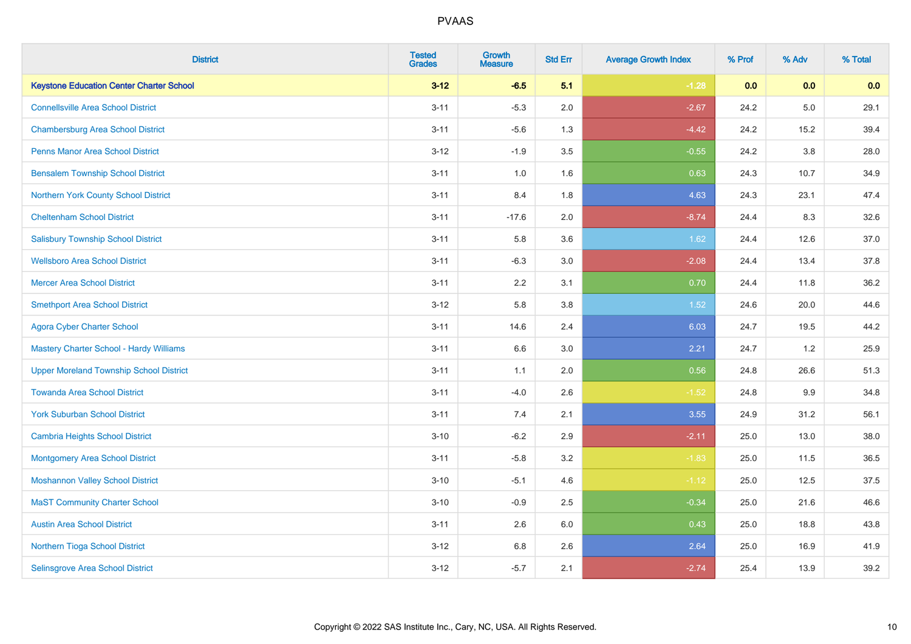| <b>District</b>                                 | <b>Tested</b><br><b>Grades</b> | <b>Growth</b><br><b>Measure</b> | <b>Std Err</b> | <b>Average Growth Index</b> | % Prof | % Adv   | % Total |
|-------------------------------------------------|--------------------------------|---------------------------------|----------------|-----------------------------|--------|---------|---------|
| <b>Keystone Education Center Charter School</b> | $3 - 12$                       | $-6.5$                          | 5.1            | $-1.28$                     | 0.0    | 0.0     | 0.0     |
| <b>Connellsville Area School District</b>       | $3 - 11$                       | $-5.3$                          | 2.0            | $-2.67$                     | 24.2   | $5.0\,$ | 29.1    |
| <b>Chambersburg Area School District</b>        | $3 - 11$                       | $-5.6$                          | 1.3            | $-4.42$                     | 24.2   | 15.2    | 39.4    |
| <b>Penns Manor Area School District</b>         | $3 - 12$                       | $-1.9$                          | 3.5            | $-0.55$                     | 24.2   | $3.8\,$ | 28.0    |
| <b>Bensalem Township School District</b>        | $3 - 11$                       | 1.0                             | 1.6            | 0.63                        | 24.3   | 10.7    | 34.9    |
| <b>Northern York County School District</b>     | $3 - 11$                       | 8.4                             | 1.8            | 4.63                        | 24.3   | 23.1    | 47.4    |
| <b>Cheltenham School District</b>               | $3 - 11$                       | $-17.6$                         | 2.0            | $-8.74$                     | 24.4   | 8.3     | 32.6    |
| <b>Salisbury Township School District</b>       | $3 - 11$                       | 5.8                             | 3.6            | 1.62                        | 24.4   | 12.6    | 37.0    |
| <b>Wellsboro Area School District</b>           | $3 - 11$                       | $-6.3$                          | 3.0            | $-2.08$                     | 24.4   | 13.4    | 37.8    |
| <b>Mercer Area School District</b>              | $3 - 11$                       | 2.2                             | 3.1            | 0.70                        | 24.4   | 11.8    | 36.2    |
| <b>Smethport Area School District</b>           | $3 - 12$                       | 5.8                             | 3.8            | 1.52                        | 24.6   | 20.0    | 44.6    |
| <b>Agora Cyber Charter School</b>               | $3 - 11$                       | 14.6                            | 2.4            | 6.03                        | 24.7   | 19.5    | 44.2    |
| Mastery Charter School - Hardy Williams         | $3 - 11$                       | 6.6                             | 3.0            | 2.21                        | 24.7   | 1.2     | 25.9    |
| <b>Upper Moreland Township School District</b>  | $3 - 11$                       | 1.1                             | 2.0            | 0.56                        | 24.8   | 26.6    | 51.3    |
| <b>Towanda Area School District</b>             | $3 - 11$                       | $-4.0$                          | 2.6            | $-1.52$                     | 24.8   | 9.9     | 34.8    |
| <b>York Suburban School District</b>            | $3 - 11$                       | 7.4                             | 2.1            | 3.55                        | 24.9   | 31.2    | 56.1    |
| <b>Cambria Heights School District</b>          | $3 - 10$                       | $-6.2$                          | 2.9            | $-2.11$                     | 25.0   | 13.0    | 38.0    |
| <b>Montgomery Area School District</b>          | $3 - 11$                       | $-5.8$                          | 3.2            | $-1.83$                     | 25.0   | 11.5    | 36.5    |
| <b>Moshannon Valley School District</b>         | $3 - 10$                       | $-5.1$                          | 4.6            | $-1.12$                     | 25.0   | 12.5    | 37.5    |
| <b>MaST Community Charter School</b>            | $3 - 10$                       | $-0.9$                          | 2.5            | $-0.34$                     | 25.0   | 21.6    | 46.6    |
| <b>Austin Area School District</b>              | $3 - 11$                       | 2.6                             | 6.0            | 0.43                        | 25.0   | 18.8    | 43.8    |
| Northern Tioga School District                  | $3 - 12$                       | $6.8\,$                         | 2.6            | 2.64                        | 25.0   | 16.9    | 41.9    |
| Selinsgrove Area School District                | $3 - 12$                       | $-5.7$                          | 2.1            | $-2.74$                     | 25.4   | 13.9    | 39.2    |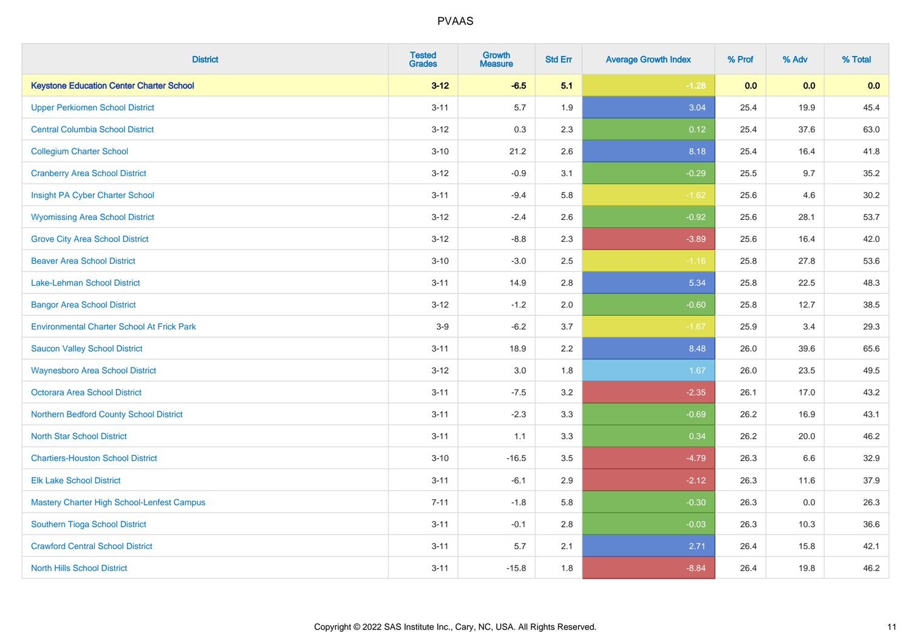| <b>District</b>                                   | <b>Tested</b><br><b>Grades</b> | <b>Growth</b><br><b>Measure</b> | <b>Std Err</b> | <b>Average Growth Index</b> | % Prof | % Adv | % Total |
|---------------------------------------------------|--------------------------------|---------------------------------|----------------|-----------------------------|--------|-------|---------|
| <b>Keystone Education Center Charter School</b>   | $3 - 12$                       | $-6.5$                          | 5.1            | $-1.28$                     | 0.0    | 0.0   | 0.0     |
| <b>Upper Perkiomen School District</b>            | $3 - 11$                       | 5.7                             | 1.9            | 3.04                        | 25.4   | 19.9  | 45.4    |
| <b>Central Columbia School District</b>           | $3 - 12$                       | 0.3                             | 2.3            | 0.12                        | 25.4   | 37.6  | 63.0    |
| <b>Collegium Charter School</b>                   | $3 - 10$                       | 21.2                            | 2.6            | 8.18                        | 25.4   | 16.4  | 41.8    |
| <b>Cranberry Area School District</b>             | $3 - 12$                       | $-0.9$                          | 3.1            | $-0.29$                     | 25.5   | 9.7   | 35.2    |
| Insight PA Cyber Charter School                   | $3 - 11$                       | $-9.4$                          | 5.8            | $-1.62$                     | 25.6   | 4.6   | 30.2    |
| <b>Wyomissing Area School District</b>            | $3 - 12$                       | $-2.4$                          | 2.6            | $-0.92$                     | 25.6   | 28.1  | 53.7    |
| <b>Grove City Area School District</b>            | $3 - 12$                       | $-8.8$                          | 2.3            | $-3.89$                     | 25.6   | 16.4  | 42.0    |
| <b>Beaver Area School District</b>                | $3 - 10$                       | $-3.0$                          | 2.5            | $-1.16$                     | 25.8   | 27.8  | 53.6    |
| Lake-Lehman School District                       | $3 - 11$                       | 14.9                            | 2.8            | 5.34                        | 25.8   | 22.5  | 48.3    |
| <b>Bangor Area School District</b>                | $3 - 12$                       | $-1.2$                          | 2.0            | $-0.60$                     | 25.8   | 12.7  | 38.5    |
| <b>Environmental Charter School At Frick Park</b> | $3-9$                          | $-6.2$                          | 3.7            | $-1.67$                     | 25.9   | 3.4   | 29.3    |
| <b>Saucon Valley School District</b>              | $3 - 11$                       | 18.9                            | 2.2            | 8.48                        | 26.0   | 39.6  | 65.6    |
| <b>Waynesboro Area School District</b>            | $3 - 12$                       | 3.0                             | 1.8            | 1.67                        | 26.0   | 23.5  | 49.5    |
| <b>Octorara Area School District</b>              | $3 - 11$                       | $-7.5$                          | 3.2            | $-2.35$                     | 26.1   | 17.0  | 43.2    |
| Northern Bedford County School District           | $3 - 11$                       | $-2.3$                          | 3.3            | $-0.69$                     | 26.2   | 16.9  | 43.1    |
| <b>North Star School District</b>                 | $3 - 11$                       | 1.1                             | 3.3            | 0.34                        | 26.2   | 20.0  | 46.2    |
| <b>Chartiers-Houston School District</b>          | $3 - 10$                       | $-16.5$                         | 3.5            | $-4.79$                     | 26.3   | 6.6   | 32.9    |
| <b>Elk Lake School District</b>                   | $3 - 11$                       | $-6.1$                          | 2.9            | $-2.12$                     | 26.3   | 11.6  | 37.9    |
| Mastery Charter High School-Lenfest Campus        | $7 - 11$                       | $-1.8$                          | 5.8            | $-0.30$                     | 26.3   | 0.0   | 26.3    |
| Southern Tioga School District                    | $3 - 11$                       | $-0.1$                          | 2.8            | $-0.03$                     | 26.3   | 10.3  | 36.6    |
| <b>Crawford Central School District</b>           | $3 - 11$                       | 5.7                             | 2.1            | 2.71                        | 26.4   | 15.8  | 42.1    |
| <b>North Hills School District</b>                | $3 - 11$                       | $-15.8$                         | 1.8            | $-8.84$                     | 26.4   | 19.8  | 46.2    |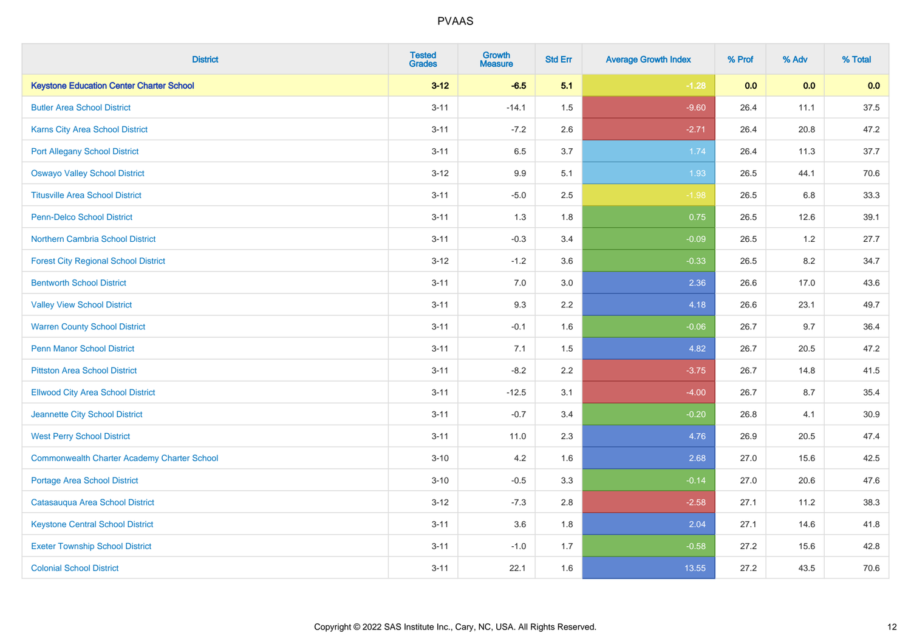| <b>District</b>                                    | <b>Tested</b><br><b>Grades</b> | <b>Growth</b><br><b>Measure</b> | <b>Std Err</b> | <b>Average Growth Index</b> | % Prof | % Adv | % Total |
|----------------------------------------------------|--------------------------------|---------------------------------|----------------|-----------------------------|--------|-------|---------|
| <b>Keystone Education Center Charter School</b>    | $3 - 12$                       | $-6.5$                          | 5.1            | $-1.28$                     | 0.0    | 0.0   | 0.0     |
| <b>Butler Area School District</b>                 | $3 - 11$                       | $-14.1$                         | 1.5            | $-9.60$                     | 26.4   | 11.1  | 37.5    |
| Karns City Area School District                    | $3 - 11$                       | $-7.2$                          | 2.6            | $-2.71$                     | 26.4   | 20.8  | 47.2    |
| <b>Port Allegany School District</b>               | $3 - 11$                       | 6.5                             | 3.7            | 1.74                        | 26.4   | 11.3  | 37.7    |
| <b>Oswayo Valley School District</b>               | $3 - 12$                       | 9.9                             | 5.1            | 1.93                        | 26.5   | 44.1  | 70.6    |
| <b>Titusville Area School District</b>             | $3 - 11$                       | $-5.0$                          | 2.5            | $-1.98$                     | 26.5   | 6.8   | 33.3    |
| Penn-Delco School District                         | $3 - 11$                       | 1.3                             | 1.8            | 0.75                        | 26.5   | 12.6  | 39.1    |
| Northern Cambria School District                   | $3 - 11$                       | $-0.3$                          | 3.4            | $-0.09$                     | 26.5   | 1.2   | 27.7    |
| <b>Forest City Regional School District</b>        | $3 - 12$                       | $-1.2$                          | 3.6            | $-0.33$                     | 26.5   | 8.2   | 34.7    |
| <b>Bentworth School District</b>                   | $3 - 11$                       | 7.0                             | 3.0            | 2.36                        | 26.6   | 17.0  | 43.6    |
| <b>Valley View School District</b>                 | $3 - 11$                       | 9.3                             | 2.2            | 4.18                        | 26.6   | 23.1  | 49.7    |
| <b>Warren County School District</b>               | $3 - 11$                       | $-0.1$                          | 1.6            | $-0.06$                     | 26.7   | 9.7   | 36.4    |
| <b>Penn Manor School District</b>                  | $3 - 11$                       | 7.1                             | 1.5            | 4.82                        | 26.7   | 20.5  | 47.2    |
| <b>Pittston Area School District</b>               | $3 - 11$                       | $-8.2$                          | 2.2            | $-3.75$                     | 26.7   | 14.8  | 41.5    |
| <b>Ellwood City Area School District</b>           | $3 - 11$                       | $-12.5$                         | 3.1            | $-4.00$                     | 26.7   | 8.7   | 35.4    |
| Jeannette City School District                     | $3 - 11$                       | $-0.7$                          | 3.4            | $-0.20$                     | 26.8   | 4.1   | 30.9    |
| <b>West Perry School District</b>                  | $3 - 11$                       | 11.0                            | 2.3            | 4.76                        | 26.9   | 20.5  | 47.4    |
| <b>Commonwealth Charter Academy Charter School</b> | $3 - 10$                       | 4.2                             | 1.6            | 2.68                        | 27.0   | 15.6  | 42.5    |
| <b>Portage Area School District</b>                | $3 - 10$                       | $-0.5$                          | 3.3            | $-0.14$                     | 27.0   | 20.6  | 47.6    |
| Catasauqua Area School District                    | $3 - 12$                       | $-7.3$                          | 2.8            | $-2.58$                     | 27.1   | 11.2  | 38.3    |
| <b>Keystone Central School District</b>            | $3 - 11$                       | 3.6                             | 1.8            | 2.04                        | 27.1   | 14.6  | 41.8    |
| <b>Exeter Township School District</b>             | $3 - 11$                       | $-1.0$                          | 1.7            | $-0.58$                     | 27.2   | 15.6  | 42.8    |
| <b>Colonial School District</b>                    | $3 - 11$                       | 22.1                            | 1.6            | 13.55                       | 27.2   | 43.5  | 70.6    |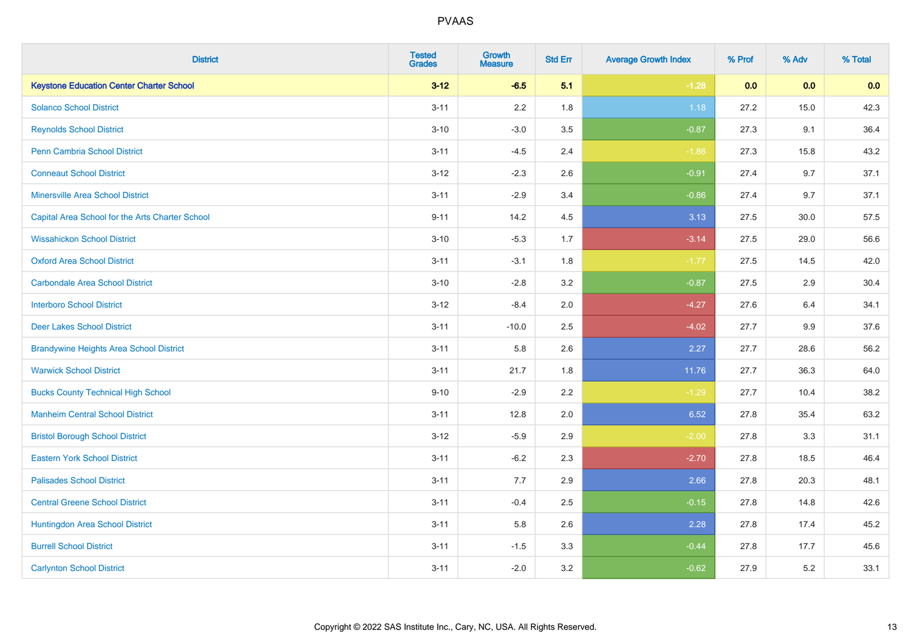| <b>District</b>                                 | <b>Tested</b><br><b>Grades</b> | <b>Growth</b><br><b>Measure</b> | <b>Std Err</b> | <b>Average Growth Index</b> | % Prof | % Adv | % Total |
|-------------------------------------------------|--------------------------------|---------------------------------|----------------|-----------------------------|--------|-------|---------|
| <b>Keystone Education Center Charter School</b> | $3 - 12$                       | $-6.5$                          | 5.1            | $-1.28$                     | 0.0    | 0.0   | 0.0     |
| <b>Solanco School District</b>                  | $3 - 11$                       | 2.2                             | 1.8            | 1.18                        | 27.2   | 15.0  | 42.3    |
| <b>Reynolds School District</b>                 | $3 - 10$                       | $-3.0$                          | 3.5            | $-0.87$                     | 27.3   | 9.1   | 36.4    |
| <b>Penn Cambria School District</b>             | $3 - 11$                       | $-4.5$                          | 2.4            | $-1.86$                     | 27.3   | 15.8  | 43.2    |
| <b>Conneaut School District</b>                 | $3 - 12$                       | $-2.3$                          | 2.6            | $-0.91$                     | 27.4   | 9.7   | 37.1    |
| <b>Minersville Area School District</b>         | $3 - 11$                       | $-2.9$                          | 3.4            | $-0.86$                     | 27.4   | 9.7   | 37.1    |
| Capital Area School for the Arts Charter School | $9 - 11$                       | 14.2                            | 4.5            | 3.13                        | 27.5   | 30.0  | 57.5    |
| <b>Wissahickon School District</b>              | $3 - 10$                       | $-5.3$                          | 1.7            | $-3.14$                     | 27.5   | 29.0  | 56.6    |
| <b>Oxford Area School District</b>              | $3 - 11$                       | $-3.1$                          | 1.8            | $-1.77$                     | 27.5   | 14.5  | 42.0    |
| <b>Carbondale Area School District</b>          | $3 - 10$                       | $-2.8$                          | 3.2            | $-0.87$                     | 27.5   | 2.9   | 30.4    |
| <b>Interboro School District</b>                | $3 - 12$                       | $-8.4$                          | 2.0            | $-4.27$                     | 27.6   | 6.4   | 34.1    |
| <b>Deer Lakes School District</b>               | $3 - 11$                       | $-10.0$                         | 2.5            | $-4.02$                     | 27.7   | 9.9   | 37.6    |
| <b>Brandywine Heights Area School District</b>  | $3 - 11$                       | 5.8                             | 2.6            | 2.27                        | 27.7   | 28.6  | 56.2    |
| <b>Warwick School District</b>                  | $3 - 11$                       | 21.7                            | 1.8            | 11.76                       | 27.7   | 36.3  | 64.0    |
| <b>Bucks County Technical High School</b>       | $9 - 10$                       | $-2.9$                          | 2.2            | $-1.29$                     | 27.7   | 10.4  | 38.2    |
| <b>Manheim Central School District</b>          | $3 - 11$                       | 12.8                            | 2.0            | 6.52                        | 27.8   | 35.4  | 63.2    |
| <b>Bristol Borough School District</b>          | $3 - 12$                       | $-5.9$                          | 2.9            | $-2.00$                     | 27.8   | 3.3   | 31.1    |
| <b>Eastern York School District</b>             | $3 - 11$                       | $-6.2$                          | 2.3            | $-2.70$                     | 27.8   | 18.5  | 46.4    |
| <b>Palisades School District</b>                | $3 - 11$                       | 7.7                             | 2.9            | 2.66                        | 27.8   | 20.3  | 48.1    |
| <b>Central Greene School District</b>           | $3 - 11$                       | $-0.4$                          | 2.5            | $-0.15$                     | 27.8   | 14.8  | 42.6    |
| <b>Huntingdon Area School District</b>          | $3 - 11$                       | 5.8                             | 2.6            | 2.28                        | 27.8   | 17.4  | 45.2    |
| <b>Burrell School District</b>                  | $3 - 11$                       | $-1.5$                          | 3.3            | $-0.44$                     | 27.8   | 17.7  | 45.6    |
| <b>Carlynton School District</b>                | $3 - 11$                       | $-2.0$                          | 3.2            | $-0.62$                     | 27.9   | 5.2   | 33.1    |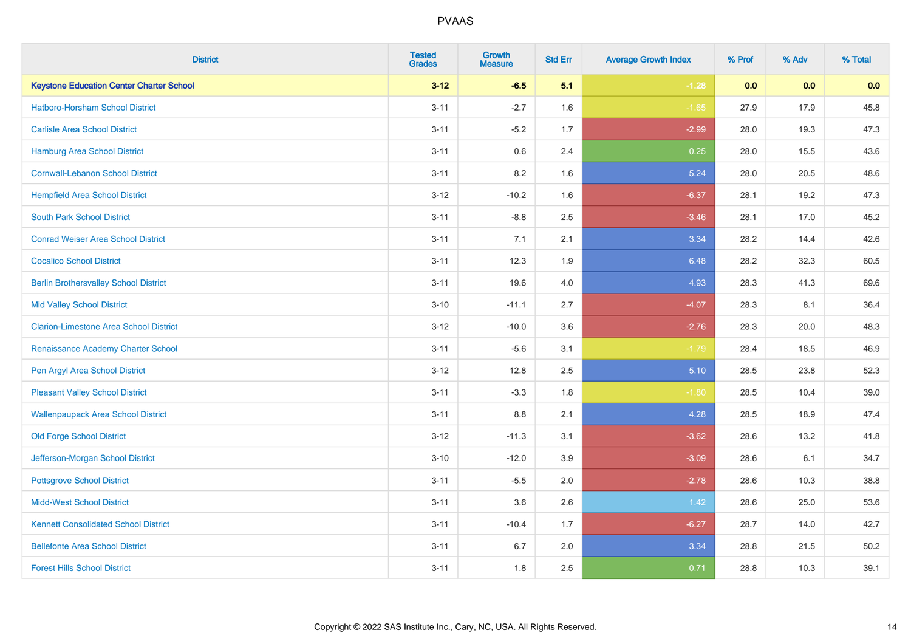| <b>District</b>                                 | <b>Tested</b><br><b>Grades</b> | <b>Growth</b><br><b>Measure</b> | <b>Std Err</b> | <b>Average Growth Index</b> | % Prof | % Adv | % Total |
|-------------------------------------------------|--------------------------------|---------------------------------|----------------|-----------------------------|--------|-------|---------|
| <b>Keystone Education Center Charter School</b> | $3 - 12$                       | $-6.5$                          | 5.1            | $-1.28$                     | 0.0    | 0.0   | 0.0     |
| Hatboro-Horsham School District                 | $3 - 11$                       | $-2.7$                          | 1.6            | $-1.65$                     | 27.9   | 17.9  | 45.8    |
| <b>Carlisle Area School District</b>            | $3 - 11$                       | $-5.2$                          | 1.7            | $-2.99$                     | 28.0   | 19.3  | 47.3    |
| Hamburg Area School District                    | $3 - 11$                       | 0.6                             | 2.4            | 0.25                        | 28.0   | 15.5  | 43.6    |
| <b>Cornwall-Lebanon School District</b>         | $3 - 11$                       | 8.2                             | 1.6            | 5.24                        | 28.0   | 20.5  | 48.6    |
| <b>Hempfield Area School District</b>           | $3 - 12$                       | $-10.2$                         | 1.6            | $-6.37$                     | 28.1   | 19.2  | 47.3    |
| <b>South Park School District</b>               | $3 - 11$                       | $-8.8$                          | 2.5            | $-3.46$                     | 28.1   | 17.0  | 45.2    |
| <b>Conrad Weiser Area School District</b>       | $3 - 11$                       | 7.1                             | 2.1            | 3.34                        | 28.2   | 14.4  | 42.6    |
| <b>Cocalico School District</b>                 | $3 - 11$                       | 12.3                            | 1.9            | 6.48                        | 28.2   | 32.3  | 60.5    |
| <b>Berlin Brothersvalley School District</b>    | $3 - 11$                       | 19.6                            | 4.0            | 4.93                        | 28.3   | 41.3  | 69.6    |
| <b>Mid Valley School District</b>               | $3 - 10$                       | $-11.1$                         | 2.7            | $-4.07$                     | 28.3   | 8.1   | 36.4    |
| <b>Clarion-Limestone Area School District</b>   | $3 - 12$                       | $-10.0$                         | 3.6            | $-2.76$                     | 28.3   | 20.0  | 48.3    |
| Renaissance Academy Charter School              | $3 - 11$                       | $-5.6$                          | 3.1            | $-1.79$                     | 28.4   | 18.5  | 46.9    |
| Pen Argyl Area School District                  | $3 - 12$                       | 12.8                            | 2.5            | 5.10                        | 28.5   | 23.8  | 52.3    |
| <b>Pleasant Valley School District</b>          | $3 - 11$                       | $-3.3$                          | 1.8            | $-1.80$                     | 28.5   | 10.4  | 39.0    |
| <b>Wallenpaupack Area School District</b>       | $3 - 11$                       | 8.8                             | 2.1            | 4.28                        | 28.5   | 18.9  | 47.4    |
| <b>Old Forge School District</b>                | $3 - 12$                       | $-11.3$                         | 3.1            | $-3.62$                     | 28.6   | 13.2  | 41.8    |
| Jefferson-Morgan School District                | $3 - 10$                       | $-12.0$                         | 3.9            | $-3.09$                     | 28.6   | 6.1   | 34.7    |
| <b>Pottsgrove School District</b>               | $3 - 11$                       | $-5.5$                          | 2.0            | $-2.78$                     | 28.6   | 10.3  | 38.8    |
| <b>Midd-West School District</b>                | $3 - 11$                       | 3.6                             | 2.6            | 1.42                        | 28.6   | 25.0  | 53.6    |
| <b>Kennett Consolidated School District</b>     | $3 - 11$                       | $-10.4$                         | 1.7            | $-6.27$                     | 28.7   | 14.0  | 42.7    |
| <b>Bellefonte Area School District</b>          | $3 - 11$                       | 6.7                             | 2.0            | 3.34                        | 28.8   | 21.5  | 50.2    |
| <b>Forest Hills School District</b>             | $3 - 11$                       | 1.8                             | 2.5            | 0.71                        | 28.8   | 10.3  | 39.1    |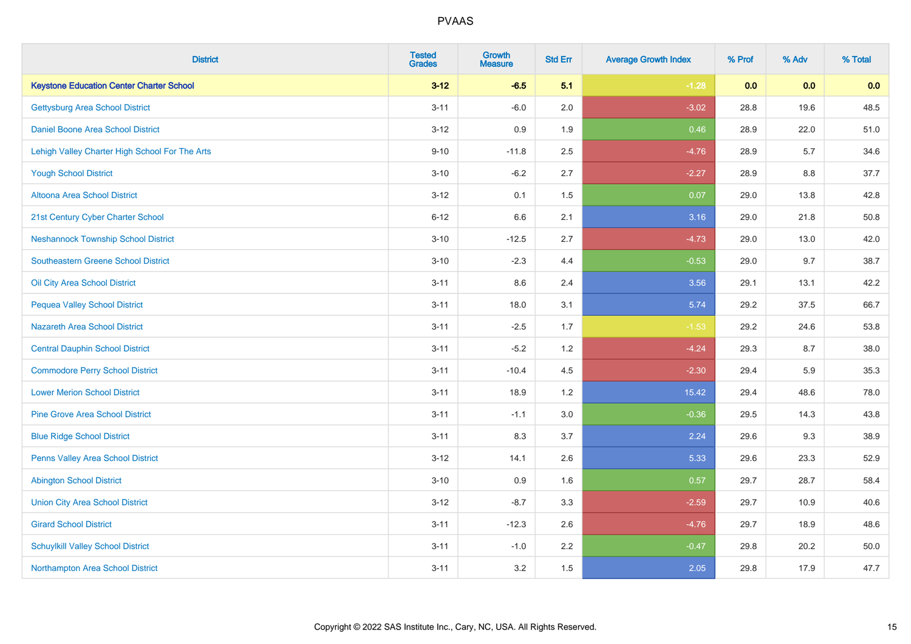| <b>District</b>                                 | <b>Tested</b><br><b>Grades</b> | <b>Growth</b><br><b>Measure</b> | <b>Std Err</b> | <b>Average Growth Index</b> | % Prof | % Adv | % Total |
|-------------------------------------------------|--------------------------------|---------------------------------|----------------|-----------------------------|--------|-------|---------|
| <b>Keystone Education Center Charter School</b> | $3 - 12$                       | $-6.5$                          | 5.1            | $-1.28$                     | 0.0    | 0.0   | 0.0     |
| <b>Gettysburg Area School District</b>          | $3 - 11$                       | $-6.0$                          | 2.0            | $-3.02$                     | 28.8   | 19.6  | 48.5    |
| Daniel Boone Area School District               | $3 - 12$                       | 0.9                             | 1.9            | 0.46                        | 28.9   | 22.0  | 51.0    |
| Lehigh Valley Charter High School For The Arts  | $9 - 10$                       | $-11.8$                         | 2.5            | $-4.76$                     | 28.9   | 5.7   | 34.6    |
| <b>Yough School District</b>                    | $3 - 10$                       | $-6.2$                          | 2.7            | $-2.27$                     | 28.9   | 8.8   | 37.7    |
| Altoona Area School District                    | $3 - 12$                       | 0.1                             | 1.5            | 0.07                        | 29.0   | 13.8  | 42.8    |
| 21st Century Cyber Charter School               | $6 - 12$                       | 6.6                             | 2.1            | 3.16                        | 29.0   | 21.8  | 50.8    |
| <b>Neshannock Township School District</b>      | $3 - 10$                       | $-12.5$                         | 2.7            | $-4.73$                     | 29.0   | 13.0  | 42.0    |
| <b>Southeastern Greene School District</b>      | $3 - 10$                       | $-2.3$                          | 4.4            | $-0.53$                     | 29.0   | 9.7   | 38.7    |
| Oil City Area School District                   | $3 - 11$                       | 8.6                             | 2.4            | 3.56                        | 29.1   | 13.1  | 42.2    |
| <b>Pequea Valley School District</b>            | $3 - 11$                       | 18.0                            | 3.1            | 5.74                        | 29.2   | 37.5  | 66.7    |
| <b>Nazareth Area School District</b>            | $3 - 11$                       | $-2.5$                          | 1.7            | $-1.53$                     | 29.2   | 24.6  | 53.8    |
| <b>Central Dauphin School District</b>          | $3 - 11$                       | $-5.2$                          | 1.2            | $-4.24$                     | 29.3   | 8.7   | 38.0    |
| <b>Commodore Perry School District</b>          | $3 - 11$                       | $-10.4$                         | 4.5            | $-2.30$                     | 29.4   | 5.9   | 35.3    |
| <b>Lower Merion School District</b>             | $3 - 11$                       | 18.9                            | 1.2            | 15.42                       | 29.4   | 48.6  | 78.0    |
| <b>Pine Grove Area School District</b>          | $3 - 11$                       | $-1.1$                          | 3.0            | $-0.36$                     | 29.5   | 14.3  | 43.8    |
| <b>Blue Ridge School District</b>               | $3 - 11$                       | 8.3                             | 3.7            | 2.24                        | 29.6   | 9.3   | 38.9    |
| Penns Valley Area School District               | $3 - 12$                       | 14.1                            | 2.6            | 5.33                        | 29.6   | 23.3  | 52.9    |
| <b>Abington School District</b>                 | $3 - 10$                       | 0.9                             | 1.6            | 0.57                        | 29.7   | 28.7  | 58.4    |
| <b>Union City Area School District</b>          | $3 - 12$                       | $-8.7$                          | 3.3            | $-2.59$                     | 29.7   | 10.9  | 40.6    |
| <b>Girard School District</b>                   | $3 - 11$                       | $-12.3$                         | 2.6            | $-4.76$                     | 29.7   | 18.9  | 48.6    |
| <b>Schuylkill Valley School District</b>        | $3 - 11$                       | $-1.0$                          | 2.2            | $-0.47$                     | 29.8   | 20.2  | 50.0    |
| Northampton Area School District                | $3 - 11$                       | 3.2                             | 1.5            | 2.05                        | 29.8   | 17.9  | 47.7    |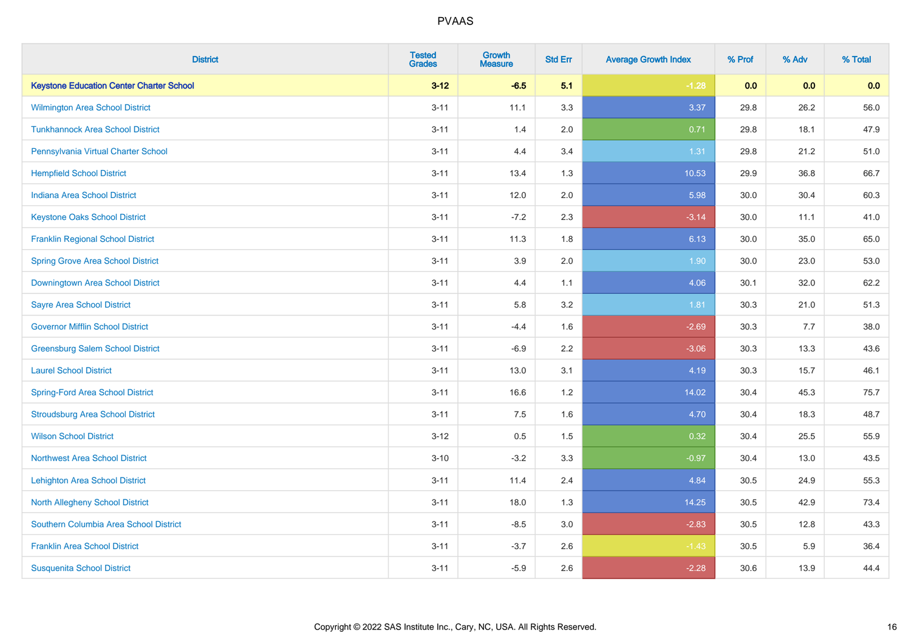| <b>District</b>                                 | <b>Tested</b><br><b>Grades</b> | <b>Growth</b><br><b>Measure</b> | <b>Std Err</b> | <b>Average Growth Index</b> | % Prof | % Adv | % Total |
|-------------------------------------------------|--------------------------------|---------------------------------|----------------|-----------------------------|--------|-------|---------|
| <b>Keystone Education Center Charter School</b> | $3 - 12$                       | $-6.5$                          | 5.1            | $-1.28$                     | 0.0    | 0.0   | 0.0     |
| Wilmington Area School District                 | $3 - 11$                       | 11.1                            | 3.3            | 3.37                        | 29.8   | 26.2  | 56.0    |
| <b>Tunkhannock Area School District</b>         | $3 - 11$                       | 1.4                             | 2.0            | 0.71                        | 29.8   | 18.1  | 47.9    |
| Pennsylvania Virtual Charter School             | $3 - 11$                       | 4.4                             | 3.4            | 1.31                        | 29.8   | 21.2  | 51.0    |
| <b>Hempfield School District</b>                | $3 - 11$                       | 13.4                            | 1.3            | 10.53                       | 29.9   | 36.8  | 66.7    |
| <b>Indiana Area School District</b>             | $3 - 11$                       | 12.0                            | 2.0            | 5.98                        | 30.0   | 30.4  | 60.3    |
| <b>Keystone Oaks School District</b>            | $3 - 11$                       | $-7.2$                          | 2.3            | $-3.14$                     | 30.0   | 11.1  | 41.0    |
| <b>Franklin Regional School District</b>        | $3 - 11$                       | 11.3                            | 1.8            | 6.13                        | 30.0   | 35.0  | 65.0    |
| <b>Spring Grove Area School District</b>        | $3 - 11$                       | 3.9                             | 2.0            | 1.90                        | 30.0   | 23.0  | 53.0    |
| Downingtown Area School District                | $3 - 11$                       | 4.4                             | 1.1            | 4.06                        | 30.1   | 32.0  | 62.2    |
| <b>Sayre Area School District</b>               | $3 - 11$                       | 5.8                             | 3.2            | 1.81                        | 30.3   | 21.0  | 51.3    |
| <b>Governor Mifflin School District</b>         | $3 - 11$                       | $-4.4$                          | 1.6            | $-2.69$                     | 30.3   | 7.7   | 38.0    |
| <b>Greensburg Salem School District</b>         | $3 - 11$                       | $-6.9$                          | 2.2            | $-3.06$                     | 30.3   | 13.3  | 43.6    |
| <b>Laurel School District</b>                   | $3 - 11$                       | 13.0                            | 3.1            | 4.19                        | 30.3   | 15.7  | 46.1    |
| <b>Spring-Ford Area School District</b>         | $3 - 11$                       | 16.6                            | 1.2            | 14.02                       | 30.4   | 45.3  | 75.7    |
| <b>Stroudsburg Area School District</b>         | $3 - 11$                       | 7.5                             | 1.6            | 4.70                        | 30.4   | 18.3  | 48.7    |
| <b>Wilson School District</b>                   | $3 - 12$                       | 0.5                             | 1.5            | 0.32                        | 30.4   | 25.5  | 55.9    |
| <b>Northwest Area School District</b>           | $3 - 10$                       | $-3.2$                          | 3.3            | $-0.97$                     | 30.4   | 13.0  | 43.5    |
| <b>Lehighton Area School District</b>           | $3 - 11$                       | 11.4                            | 2.4            | 4.84                        | 30.5   | 24.9  | 55.3    |
| <b>North Allegheny School District</b>          | $3 - 11$                       | 18.0                            | 1.3            | 14.25                       | 30.5   | 42.9  | 73.4    |
| Southern Columbia Area School District          | $3 - 11$                       | $-8.5$                          | 3.0            | $-2.83$                     | 30.5   | 12.8  | 43.3    |
| <b>Franklin Area School District</b>            | $3 - 11$                       | $-3.7$                          | 2.6            | $-1.43$                     | 30.5   | 5.9   | 36.4    |
| <b>Susquenita School District</b>               | $3 - 11$                       | $-5.9$                          | 2.6            | $-2.28$                     | 30.6   | 13.9  | 44.4    |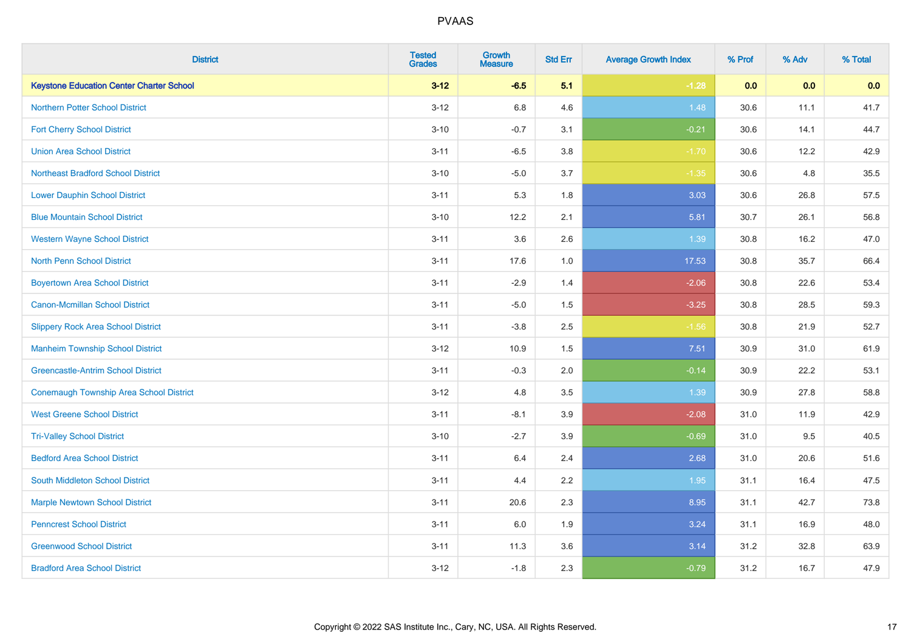| <b>District</b>                                 | <b>Tested</b><br><b>Grades</b> | <b>Growth</b><br><b>Measure</b> | <b>Std Err</b> | <b>Average Growth Index</b> | % Prof | % Adv | % Total |
|-------------------------------------------------|--------------------------------|---------------------------------|----------------|-----------------------------|--------|-------|---------|
| <b>Keystone Education Center Charter School</b> | $3 - 12$                       | $-6.5$                          | 5.1            | $-1.28$                     | 0.0    | 0.0   | 0.0     |
| <b>Northern Potter School District</b>          | $3 - 12$                       | $6.8\,$                         | 4.6            | 1.48                        | 30.6   | 11.1  | 41.7    |
| <b>Fort Cherry School District</b>              | $3 - 10$                       | $-0.7$                          | 3.1            | $-0.21$                     | 30.6   | 14.1  | 44.7    |
| <b>Union Area School District</b>               | $3 - 11$                       | $-6.5$                          | 3.8            | $-1.70$                     | 30.6   | 12.2  | 42.9    |
| <b>Northeast Bradford School District</b>       | $3 - 10$                       | $-5.0$                          | 3.7            | $-1.35$                     | 30.6   | 4.8   | 35.5    |
| <b>Lower Dauphin School District</b>            | $3 - 11$                       | 5.3                             | 1.8            | 3.03                        | 30.6   | 26.8  | 57.5    |
| <b>Blue Mountain School District</b>            | $3 - 10$                       | 12.2                            | 2.1            | 5.81                        | 30.7   | 26.1  | 56.8    |
| <b>Western Wayne School District</b>            | $3 - 11$                       | 3.6                             | 2.6            | 1.39                        | 30.8   | 16.2  | 47.0    |
| <b>North Penn School District</b>               | $3 - 11$                       | 17.6                            | 1.0            | 17.53                       | 30.8   | 35.7  | 66.4    |
| <b>Boyertown Area School District</b>           | $3 - 11$                       | $-2.9$                          | 1.4            | $-2.06$                     | 30.8   | 22.6  | 53.4    |
| Canon-Mcmillan School District                  | $3 - 11$                       | $-5.0$                          | 1.5            | $-3.25$                     | 30.8   | 28.5  | 59.3    |
| <b>Slippery Rock Area School District</b>       | $3 - 11$                       | $-3.8$                          | 2.5            | $-1.56$                     | 30.8   | 21.9  | 52.7    |
| <b>Manheim Township School District</b>         | $3 - 12$                       | 10.9                            | 1.5            | 7.51                        | 30.9   | 31.0  | 61.9    |
| <b>Greencastle-Antrim School District</b>       | $3 - 11$                       | $-0.3$                          | 2.0            | $-0.14$                     | 30.9   | 22.2  | 53.1    |
| <b>Conemaugh Township Area School District</b>  | $3 - 12$                       | 4.8                             | 3.5            | 1.39                        | 30.9   | 27.8  | 58.8    |
| <b>West Greene School District</b>              | $3 - 11$                       | $-8.1$                          | 3.9            | $-2.08$                     | 31.0   | 11.9  | 42.9    |
| <b>Tri-Valley School District</b>               | $3 - 10$                       | $-2.7$                          | 3.9            | $-0.69$                     | 31.0   | 9.5   | 40.5    |
| <b>Bedford Area School District</b>             | $3 - 11$                       | 6.4                             | 2.4            | 2.68                        | 31.0   | 20.6  | 51.6    |
| South Middleton School District                 | $3 - 11$                       | 4.4                             | 2.2            | 1.95                        | 31.1   | 16.4  | 47.5    |
| <b>Marple Newtown School District</b>           | $3 - 11$                       | 20.6                            | 2.3            | 8.95                        | 31.1   | 42.7  | 73.8    |
| <b>Penncrest School District</b>                | $3 - 11$                       | 6.0                             | 1.9            | 3.24                        | 31.1   | 16.9  | 48.0    |
| <b>Greenwood School District</b>                | $3 - 11$                       | 11.3                            | 3.6            | 3.14                        | 31.2   | 32.8  | 63.9    |
| <b>Bradford Area School District</b>            | $3 - 12$                       | $-1.8$                          | 2.3            | $-0.79$                     | 31.2   | 16.7  | 47.9    |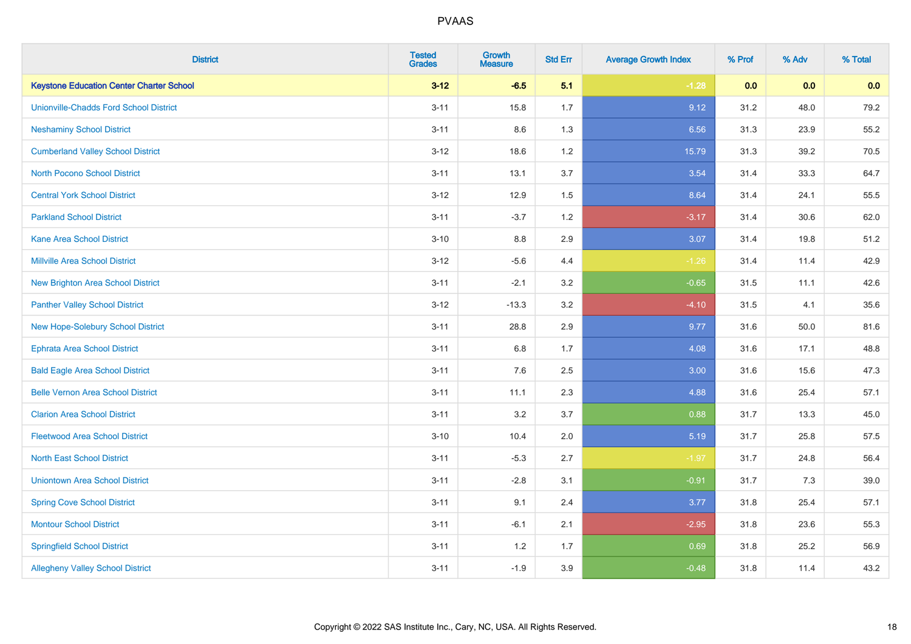| <b>District</b>                                 | <b>Tested</b><br><b>Grades</b> | <b>Growth</b><br><b>Measure</b> | <b>Std Err</b> | <b>Average Growth Index</b> | % Prof | % Adv | % Total |
|-------------------------------------------------|--------------------------------|---------------------------------|----------------|-----------------------------|--------|-------|---------|
| <b>Keystone Education Center Charter School</b> | $3 - 12$                       | $-6.5$                          | 5.1            | $-1.28$                     | 0.0    | 0.0   | 0.0     |
| <b>Unionville-Chadds Ford School District</b>   | $3 - 11$                       | 15.8                            | 1.7            | 9.12                        | 31.2   | 48.0  | 79.2    |
| <b>Neshaminy School District</b>                | $3 - 11$                       | 8.6                             | 1.3            | 6.56                        | 31.3   | 23.9  | 55.2    |
| <b>Cumberland Valley School District</b>        | $3 - 12$                       | 18.6                            | 1.2            | 15.79                       | 31.3   | 39.2  | 70.5    |
| <b>North Pocono School District</b>             | $3 - 11$                       | 13.1                            | 3.7            | 3.54                        | 31.4   | 33.3  | 64.7    |
| <b>Central York School District</b>             | $3 - 12$                       | 12.9                            | 1.5            | 8.64                        | 31.4   | 24.1  | 55.5    |
| <b>Parkland School District</b>                 | $3 - 11$                       | $-3.7$                          | 1.2            | $-3.17$                     | 31.4   | 30.6  | 62.0    |
| <b>Kane Area School District</b>                | $3 - 10$                       | $8.8\,$                         | 2.9            | 3.07                        | 31.4   | 19.8  | 51.2    |
| <b>Millville Area School District</b>           | $3 - 12$                       | $-5.6$                          | 4.4            | $-1.26$                     | 31.4   | 11.4  | 42.9    |
| <b>New Brighton Area School District</b>        | $3 - 11$                       | $-2.1$                          | 3.2            | $-0.65$                     | 31.5   | 11.1  | 42.6    |
| <b>Panther Valley School District</b>           | $3 - 12$                       | $-13.3$                         | 3.2            | $-4.10$                     | 31.5   | 4.1   | 35.6    |
| New Hope-Solebury School District               | $3 - 11$                       | 28.8                            | 2.9            | 9.77                        | 31.6   | 50.0  | 81.6    |
| <b>Ephrata Area School District</b>             | $3 - 11$                       | $6.8\,$                         | 1.7            | 4.08                        | 31.6   | 17.1  | 48.8    |
| <b>Bald Eagle Area School District</b>          | $3 - 11$                       | 7.6                             | 2.5            | 3.00                        | 31.6   | 15.6  | 47.3    |
| <b>Belle Vernon Area School District</b>        | $3 - 11$                       | 11.1                            | 2.3            | 4.88                        | 31.6   | 25.4  | 57.1    |
| <b>Clarion Area School District</b>             | $3 - 11$                       | 3.2                             | 3.7            | 0.88                        | 31.7   | 13.3  | 45.0    |
| <b>Fleetwood Area School District</b>           | $3 - 10$                       | 10.4                            | 2.0            | 5.19                        | 31.7   | 25.8  | 57.5    |
| <b>North East School District</b>               | $3 - 11$                       | $-5.3$                          | 2.7            | $-1.97$                     | 31.7   | 24.8  | 56.4    |
| <b>Uniontown Area School District</b>           | $3 - 11$                       | $-2.8$                          | 3.1            | $-0.91$                     | 31.7   | 7.3   | 39.0    |
| <b>Spring Cove School District</b>              | $3 - 11$                       | 9.1                             | 2.4            | 3.77                        | 31.8   | 25.4  | 57.1    |
| <b>Montour School District</b>                  | $3 - 11$                       | $-6.1$                          | 2.1            | $-2.95$                     | 31.8   | 23.6  | 55.3    |
| <b>Springfield School District</b>              | $3 - 11$                       | 1.2                             | 1.7            | 0.69                        | 31.8   | 25.2  | 56.9    |
| <b>Allegheny Valley School District</b>         | $3 - 11$                       | $-1.9$                          | 3.9            | $-0.48$                     | 31.8   | 11.4  | 43.2    |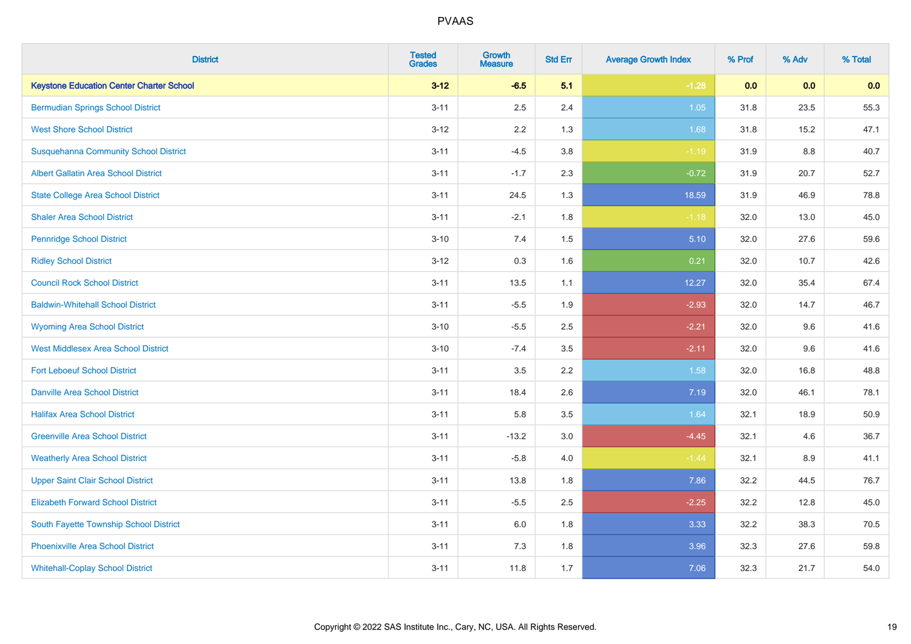| <b>District</b>                                 | <b>Tested</b><br><b>Grades</b> | <b>Growth</b><br><b>Measure</b> | <b>Std Err</b> | <b>Average Growth Index</b> | % Prof | % Adv   | % Total |
|-------------------------------------------------|--------------------------------|---------------------------------|----------------|-----------------------------|--------|---------|---------|
| <b>Keystone Education Center Charter School</b> | $3 - 12$                       | $-6.5$                          | 5.1            | $-1.28$                     | 0.0    | 0.0     | 0.0     |
| <b>Bermudian Springs School District</b>        | $3 - 11$                       | 2.5                             | 2.4            | 1.05                        | 31.8   | 23.5    | 55.3    |
| <b>West Shore School District</b>               | $3 - 12$                       | 2.2                             | 1.3            | 1.68                        | 31.8   | 15.2    | 47.1    |
| <b>Susquehanna Community School District</b>    | $3 - 11$                       | $-4.5$                          | 3.8            | $-1.19$                     | 31.9   | $8.8\,$ | 40.7    |
| <b>Albert Gallatin Area School District</b>     | $3 - 11$                       | $-1.7$                          | 2.3            | $-0.72$                     | 31.9   | 20.7    | 52.7    |
| <b>State College Area School District</b>       | $3 - 11$                       | 24.5                            | 1.3            | 18.59                       | 31.9   | 46.9    | 78.8    |
| <b>Shaler Area School District</b>              | $3 - 11$                       | $-2.1$                          | 1.8            | $-1.18$                     | 32.0   | 13.0    | 45.0    |
| <b>Pennridge School District</b>                | $3 - 10$                       | 7.4                             | $1.5\,$        | 5.10                        | 32.0   | 27.6    | 59.6    |
| <b>Ridley School District</b>                   | $3 - 12$                       | 0.3                             | 1.6            | 0.21                        | 32.0   | 10.7    | 42.6    |
| <b>Council Rock School District</b>             | $3 - 11$                       | 13.5                            | 1.1            | 12.27                       | 32.0   | 35.4    | 67.4    |
| <b>Baldwin-Whitehall School District</b>        | $3 - 11$                       | $-5.5$                          | 1.9            | $-2.93$                     | 32.0   | 14.7    | 46.7    |
| <b>Wyoming Area School District</b>             | $3 - 10$                       | $-5.5$                          | 2.5            | $-2.21$                     | 32.0   | 9.6     | 41.6    |
| <b>West Middlesex Area School District</b>      | $3 - 10$                       | $-7.4$                          | 3.5            | $-2.11$                     | 32.0   | 9.6     | 41.6    |
| <b>Fort Leboeuf School District</b>             | $3 - 11$                       | 3.5                             | 2.2            | 1.58                        | 32.0   | 16.8    | 48.8    |
| <b>Danville Area School District</b>            | $3 - 11$                       | 18.4                            | 2.6            | 7.19                        | 32.0   | 46.1    | 78.1    |
| <b>Halifax Area School District</b>             | $3 - 11$                       | 5.8                             | 3.5            | 1.64                        | 32.1   | 18.9    | 50.9    |
| <b>Greenville Area School District</b>          | $3 - 11$                       | $-13.2$                         | 3.0            | $-4.45$                     | 32.1   | 4.6     | 36.7    |
| <b>Weatherly Area School District</b>           | $3 - 11$                       | $-5.8$                          | 4.0            | $-1.44$                     | 32.1   | 8.9     | 41.1    |
| <b>Upper Saint Clair School District</b>        | $3 - 11$                       | 13.8                            | 1.8            | 7.86                        | 32.2   | 44.5    | 76.7    |
| <b>Elizabeth Forward School District</b>        | $3 - 11$                       | $-5.5$                          | 2.5            | $-2.25$                     | 32.2   | 12.8    | 45.0    |
| South Fayette Township School District          | $3 - 11$                       | 6.0                             | 1.8            | 3.33                        | 32.2   | 38.3    | 70.5    |
| <b>Phoenixville Area School District</b>        | $3 - 11$                       | 7.3                             | 1.8            | 3.96                        | 32.3   | 27.6    | 59.8    |
| <b>Whitehall-Coplay School District</b>         | $3 - 11$                       | 11.8                            | 1.7            | 7.06                        | 32.3   | 21.7    | 54.0    |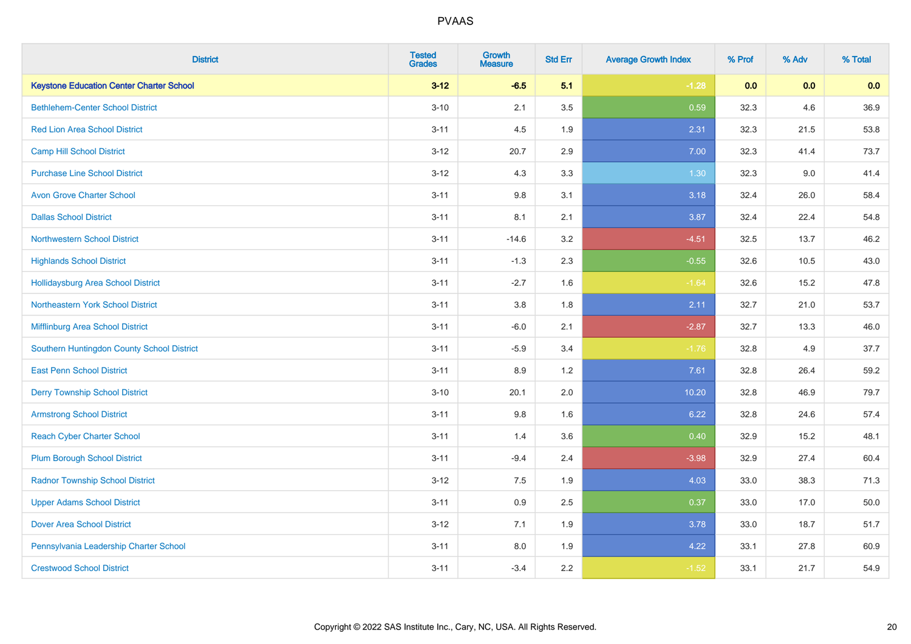| <b>District</b>                                 | <b>Tested</b><br><b>Grades</b> | <b>Growth</b><br><b>Measure</b> | <b>Std Err</b> | <b>Average Growth Index</b> | % Prof | % Adv | % Total |
|-------------------------------------------------|--------------------------------|---------------------------------|----------------|-----------------------------|--------|-------|---------|
| <b>Keystone Education Center Charter School</b> | $3 - 12$                       | $-6.5$                          | 5.1            | $-1.28$                     | 0.0    | 0.0   | 0.0     |
| <b>Bethlehem-Center School District</b>         | $3 - 10$                       | 2.1                             | 3.5            | 0.59                        | 32.3   | 4.6   | 36.9    |
| <b>Red Lion Area School District</b>            | $3 - 11$                       | 4.5                             | 1.9            | 2.31                        | 32.3   | 21.5  | 53.8    |
| <b>Camp Hill School District</b>                | $3 - 12$                       | 20.7                            | 2.9            | 7.00                        | 32.3   | 41.4  | 73.7    |
| <b>Purchase Line School District</b>            | $3 - 12$                       | 4.3                             | 3.3            | 1.30                        | 32.3   | 9.0   | 41.4    |
| <b>Avon Grove Charter School</b>                | $3 - 11$                       | 9.8                             | 3.1            | 3.18                        | 32.4   | 26.0  | 58.4    |
| <b>Dallas School District</b>                   | $3 - 11$                       | 8.1                             | 2.1            | 3.87                        | 32.4   | 22.4  | 54.8    |
| <b>Northwestern School District</b>             | $3 - 11$                       | $-14.6$                         | 3.2            | $-4.51$                     | 32.5   | 13.7  | 46.2    |
| <b>Highlands School District</b>                | $3 - 11$                       | $-1.3$                          | 2.3            | $-0.55$                     | 32.6   | 10.5  | 43.0    |
| <b>Hollidaysburg Area School District</b>       | $3 - 11$                       | $-2.7$                          | 1.6            | $-1.64$                     | 32.6   | 15.2  | 47.8    |
| Northeastern York School District               | $3 - 11$                       | 3.8                             | 1.8            | 2.11                        | 32.7   | 21.0  | 53.7    |
| Mifflinburg Area School District                | $3 - 11$                       | $-6.0$                          | 2.1            | $-2.87$                     | 32.7   | 13.3  | 46.0    |
| Southern Huntingdon County School District      | $3 - 11$                       | $-5.9$                          | 3.4            | $-1.76$                     | 32.8   | 4.9   | 37.7    |
| <b>East Penn School District</b>                | $3 - 11$                       | 8.9                             | 1.2            | 7.61                        | 32.8   | 26.4  | 59.2    |
| <b>Derry Township School District</b>           | $3 - 10$                       | 20.1                            | 2.0            | 10.20                       | 32.8   | 46.9  | 79.7    |
| <b>Armstrong School District</b>                | $3 - 11$                       | 9.8                             | 1.6            | 6.22                        | 32.8   | 24.6  | 57.4    |
| <b>Reach Cyber Charter School</b>               | $3 - 11$                       | 1.4                             | 3.6            | 0.40                        | 32.9   | 15.2  | 48.1    |
| <b>Plum Borough School District</b>             | $3 - 11$                       | $-9.4$                          | 2.4            | $-3.98$                     | 32.9   | 27.4  | 60.4    |
| <b>Radnor Township School District</b>          | $3 - 12$                       | 7.5                             | 1.9            | 4.03                        | 33.0   | 38.3  | 71.3    |
| <b>Upper Adams School District</b>              | $3 - 11$                       | 0.9                             | 2.5            | 0.37                        | 33.0   | 17.0  | 50.0    |
| <b>Dover Area School District</b>               | $3 - 12$                       | 7.1                             | 1.9            | 3.78                        | 33.0   | 18.7  | 51.7    |
| Pennsylvania Leadership Charter School          | $3 - 11$                       | $8.0\,$                         | 1.9            | 4.22                        | 33.1   | 27.8  | 60.9    |
| <b>Crestwood School District</b>                | $3 - 11$                       | $-3.4$                          | 2.2            | $-1.52$                     | 33.1   | 21.7  | 54.9    |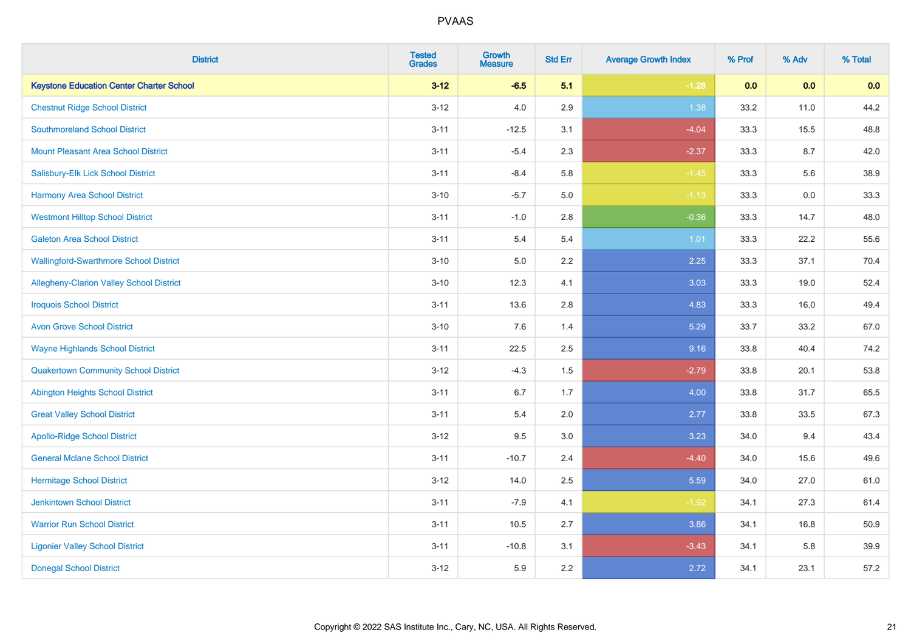| <b>District</b>                                 | <b>Tested</b><br><b>Grades</b> | <b>Growth</b><br><b>Measure</b> | <b>Std Err</b> | <b>Average Growth Index</b> | % Prof | % Adv | % Total |
|-------------------------------------------------|--------------------------------|---------------------------------|----------------|-----------------------------|--------|-------|---------|
| <b>Keystone Education Center Charter School</b> | $3 - 12$                       | $-6.5$                          | 5.1            | $-1.28$                     | 0.0    | 0.0   | 0.0     |
| <b>Chestnut Ridge School District</b>           | $3 - 12$                       | 4.0                             | 2.9            | 1.38                        | 33.2   | 11.0  | 44.2    |
| <b>Southmoreland School District</b>            | $3 - 11$                       | $-12.5$                         | 3.1            | $-4.04$                     | 33.3   | 15.5  | 48.8    |
| <b>Mount Pleasant Area School District</b>      | $3 - 11$                       | $-5.4$                          | 2.3            | $-2.37$                     | 33.3   | 8.7   | 42.0    |
| Salisbury-Elk Lick School District              | $3 - 11$                       | $-8.4$                          | 5.8            | $-1.45$                     | 33.3   | 5.6   | 38.9    |
| <b>Harmony Area School District</b>             | $3 - 10$                       | $-5.7$                          | 5.0            | $-1.13$                     | 33.3   | 0.0   | 33.3    |
| <b>Westmont Hilltop School District</b>         | $3 - 11$                       | $-1.0$                          | 2.8            | $-0.36$                     | 33.3   | 14.7  | 48.0    |
| <b>Galeton Area School District</b>             | $3 - 11$                       | 5.4                             | 5.4            | 1.01                        | 33.3   | 22.2  | 55.6    |
| <b>Wallingford-Swarthmore School District</b>   | $3 - 10$                       | 5.0                             | 2.2            | 2.25                        | 33.3   | 37.1  | 70.4    |
| Allegheny-Clarion Valley School District        | $3 - 10$                       | 12.3                            | 4.1            | 3.03                        | 33.3   | 19.0  | 52.4    |
| <b>Iroquois School District</b>                 | $3 - 11$                       | 13.6                            | 2.8            | 4.83                        | 33.3   | 16.0  | 49.4    |
| <b>Avon Grove School District</b>               | $3 - 10$                       | 7.6                             | 1.4            | 5.29                        | 33.7   | 33.2  | 67.0    |
| <b>Wayne Highlands School District</b>          | $3 - 11$                       | 22.5                            | 2.5            | 9.16                        | 33.8   | 40.4  | 74.2    |
| <b>Quakertown Community School District</b>     | $3 - 12$                       | $-4.3$                          | $1.5$          | $-2.79$                     | 33.8   | 20.1  | 53.8    |
| <b>Abington Heights School District</b>         | $3 - 11$                       | 6.7                             | 1.7            | 4.00                        | 33.8   | 31.7  | 65.5    |
| <b>Great Valley School District</b>             | $3 - 11$                       | 5.4                             | 2.0            | 2.77                        | 33.8   | 33.5  | 67.3    |
| <b>Apollo-Ridge School District</b>             | $3 - 12$                       | 9.5                             | 3.0            | 3.23                        | 34.0   | 9.4   | 43.4    |
| <b>General Mclane School District</b>           | $3 - 11$                       | $-10.7$                         | 2.4            | $-4.40$                     | 34.0   | 15.6  | 49.6    |
| <b>Hermitage School District</b>                | $3 - 12$                       | 14.0                            | 2.5            | 5.59                        | 34.0   | 27.0  | 61.0    |
| <b>Jenkintown School District</b>               | $3 - 11$                       | $-7.9$                          | 4.1            | $-1.92$                     | 34.1   | 27.3  | 61.4    |
| <b>Warrior Run School District</b>              | $3 - 11$                       | 10.5                            | 2.7            | 3.86                        | 34.1   | 16.8  | 50.9    |
| <b>Ligonier Valley School District</b>          | $3 - 11$                       | $-10.8$                         | 3.1            | $-3.43$                     | 34.1   | 5.8   | 39.9    |
| <b>Donegal School District</b>                  | $3 - 12$                       | 5.9                             | 2.2            | 2.72                        | 34.1   | 23.1  | 57.2    |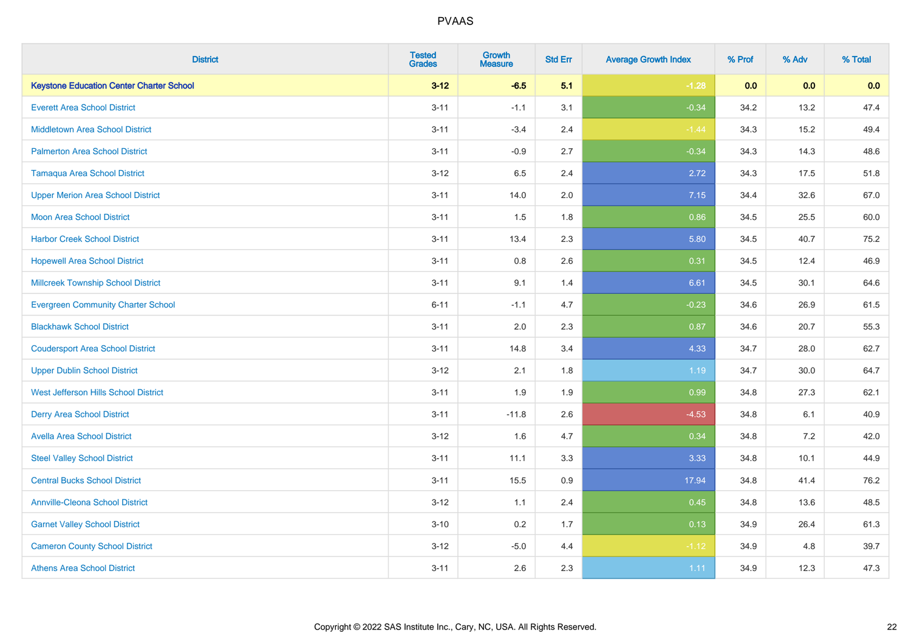| <b>District</b>                                 | <b>Tested</b><br><b>Grades</b> | Growth<br><b>Measure</b> | <b>Std Err</b> | <b>Average Growth Index</b> | % Prof | % Adv | % Total |
|-------------------------------------------------|--------------------------------|--------------------------|----------------|-----------------------------|--------|-------|---------|
| <b>Keystone Education Center Charter School</b> | $3 - 12$                       | $-6.5$                   | 5.1            | $-1.28$                     | 0.0    | 0.0   | 0.0     |
| <b>Everett Area School District</b>             | $3 - 11$                       | $-1.1$                   | 3.1            | $-0.34$                     | 34.2   | 13.2  | 47.4    |
| <b>Middletown Area School District</b>          | $3 - 11$                       | $-3.4$                   | 2.4            | $-1.44$                     | 34.3   | 15.2  | 49.4    |
| <b>Palmerton Area School District</b>           | $3 - 11$                       | $-0.9$                   | 2.7            | $-0.34$                     | 34.3   | 14.3  | 48.6    |
| <b>Tamaqua Area School District</b>             | $3 - 12$                       | 6.5                      | 2.4            | 2.72                        | 34.3   | 17.5  | 51.8    |
| <b>Upper Merion Area School District</b>        | $3 - 11$                       | 14.0                     | 2.0            | 7.15                        | 34.4   | 32.6  | 67.0    |
| <b>Moon Area School District</b>                | $3 - 11$                       | 1.5                      | 1.8            | 0.86                        | 34.5   | 25.5  | 60.0    |
| <b>Harbor Creek School District</b>             | $3 - 11$                       | 13.4                     | 2.3            | 5.80                        | 34.5   | 40.7  | 75.2    |
| <b>Hopewell Area School District</b>            | $3 - 11$                       | 0.8                      | 2.6            | 0.31                        | 34.5   | 12.4  | 46.9    |
| <b>Millcreek Township School District</b>       | $3 - 11$                       | 9.1                      | 1.4            | 6.61                        | 34.5   | 30.1  | 64.6    |
| <b>Evergreen Community Charter School</b>       | $6 - 11$                       | $-1.1$                   | 4.7            | $-0.23$                     | 34.6   | 26.9  | 61.5    |
| <b>Blackhawk School District</b>                | $3 - 11$                       | 2.0                      | 2.3            | 0.87                        | 34.6   | 20.7  | 55.3    |
| <b>Coudersport Area School District</b>         | $3 - 11$                       | 14.8                     | 3.4            | 4.33                        | 34.7   | 28.0  | 62.7    |
| <b>Upper Dublin School District</b>             | $3 - 12$                       | 2.1                      | 1.8            | 1.19                        | 34.7   | 30.0  | 64.7    |
| West Jefferson Hills School District            | $3 - 11$                       | 1.9                      | 1.9            | 0.99                        | 34.8   | 27.3  | 62.1    |
| <b>Derry Area School District</b>               | $3 - 11$                       | $-11.8$                  | 2.6            | $-4.53$                     | 34.8   | 6.1   | 40.9    |
| <b>Avella Area School District</b>              | $3 - 12$                       | 1.6                      | 4.7            | 0.34                        | 34.8   | 7.2   | 42.0    |
| <b>Steel Valley School District</b>             | $3 - 11$                       | 11.1                     | 3.3            | 3.33                        | 34.8   | 10.1  | 44.9    |
| <b>Central Bucks School District</b>            | $3 - 11$                       | 15.5                     | 0.9            | 17.94                       | 34.8   | 41.4  | 76.2    |
| <b>Annville-Cleona School District</b>          | $3 - 12$                       | 1.1                      | 2.4            | 0.45                        | 34.8   | 13.6  | 48.5    |
| <b>Garnet Valley School District</b>            | $3 - 10$                       | 0.2                      | 1.7            | 0.13                        | 34.9   | 26.4  | 61.3    |
| <b>Cameron County School District</b>           | $3 - 12$                       | $-5.0$                   | 4.4            | $-1.12$                     | 34.9   | 4.8   | 39.7    |
| <b>Athens Area School District</b>              | $3 - 11$                       | 2.6                      | 2.3            | 1.11                        | 34.9   | 12.3  | 47.3    |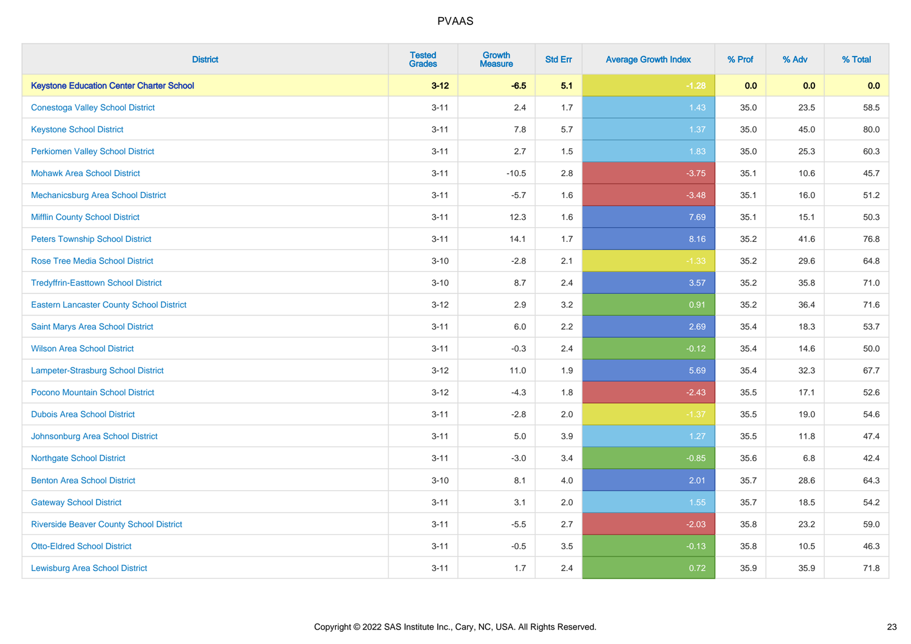| <b>District</b>                                 | <b>Tested</b><br><b>Grades</b> | <b>Growth</b><br><b>Measure</b> | <b>Std Err</b> | <b>Average Growth Index</b> | % Prof | % Adv | % Total  |
|-------------------------------------------------|--------------------------------|---------------------------------|----------------|-----------------------------|--------|-------|----------|
| <b>Keystone Education Center Charter School</b> | $3 - 12$                       | $-6.5$                          | 5.1            | $-1.28$                     | 0.0    | 0.0   | 0.0      |
| <b>Conestoga Valley School District</b>         | $3 - 11$                       | 2.4                             | 1.7            | 1.43                        | 35.0   | 23.5  | 58.5     |
| <b>Keystone School District</b>                 | $3 - 11$                       | 7.8                             | 5.7            | 1.37                        | 35.0   | 45.0  | 80.0     |
| <b>Perkiomen Valley School District</b>         | $3 - 11$                       | 2.7                             | 1.5            | 1.83                        | 35.0   | 25.3  | 60.3     |
| <b>Mohawk Area School District</b>              | $3 - 11$                       | $-10.5$                         | 2.8            | $-3.75$                     | 35.1   | 10.6  | 45.7     |
| Mechanicsburg Area School District              | $3 - 11$                       | $-5.7$                          | 1.6            | $-3.48$                     | 35.1   | 16.0  | 51.2     |
| <b>Mifflin County School District</b>           | $3 - 11$                       | 12.3                            | 1.6            | 7.69                        | 35.1   | 15.1  | 50.3     |
| <b>Peters Township School District</b>          | $3 - 11$                       | 14.1                            | 1.7            | 8.16                        | 35.2   | 41.6  | 76.8     |
| <b>Rose Tree Media School District</b>          | $3 - 10$                       | $-2.8$                          | 2.1            | $-1.33$                     | 35.2   | 29.6  | 64.8     |
| <b>Tredyffrin-Easttown School District</b>      | $3 - 10$                       | 8.7                             | 2.4            | 3.57                        | 35.2   | 35.8  | 71.0     |
| <b>Eastern Lancaster County School District</b> | $3-12$                         | 2.9                             | 3.2            | 0.91                        | 35.2   | 36.4  | 71.6     |
| Saint Marys Area School District                | $3 - 11$                       | 6.0                             | 2.2            | 2.69                        | 35.4   | 18.3  | 53.7     |
| <b>Wilson Area School District</b>              | $3 - 11$                       | $-0.3$                          | 2.4            | $-0.12$                     | 35.4   | 14.6  | $50.0\,$ |
| Lampeter-Strasburg School District              | $3 - 12$                       | 11.0                            | 1.9            | 5.69                        | 35.4   | 32.3  | 67.7     |
| Pocono Mountain School District                 | $3-12$                         | $-4.3$                          | 1.8            | $-2.43$                     | 35.5   | 17.1  | 52.6     |
| <b>Dubois Area School District</b>              | $3 - 11$                       | $-2.8$                          | 2.0            | $-1.37$                     | 35.5   | 19.0  | 54.6     |
| Johnsonburg Area School District                | $3 - 11$                       | 5.0                             | 3.9            | 1.27                        | 35.5   | 11.8  | 47.4     |
| <b>Northgate School District</b>                | $3 - 11$                       | $-3.0$                          | 3.4            | $-0.85$                     | 35.6   | 6.8   | 42.4     |
| <b>Benton Area School District</b>              | $3 - 10$                       | 8.1                             | 4.0            | 2.01                        | 35.7   | 28.6  | 64.3     |
| <b>Gateway School District</b>                  | $3 - 11$                       | 3.1                             | 2.0            | 1.55                        | 35.7   | 18.5  | 54.2     |
| <b>Riverside Beaver County School District</b>  | $3 - 11$                       | $-5.5$                          | 2.7            | $-2.03$                     | 35.8   | 23.2  | 59.0     |
| <b>Otto-Eldred School District</b>              | $3 - 11$                       | $-0.5$                          | 3.5            | $-0.13$                     | 35.8   | 10.5  | 46.3     |
| <b>Lewisburg Area School District</b>           | $3 - 11$                       | 1.7                             | 2.4            | 0.72                        | 35.9   | 35.9  | 71.8     |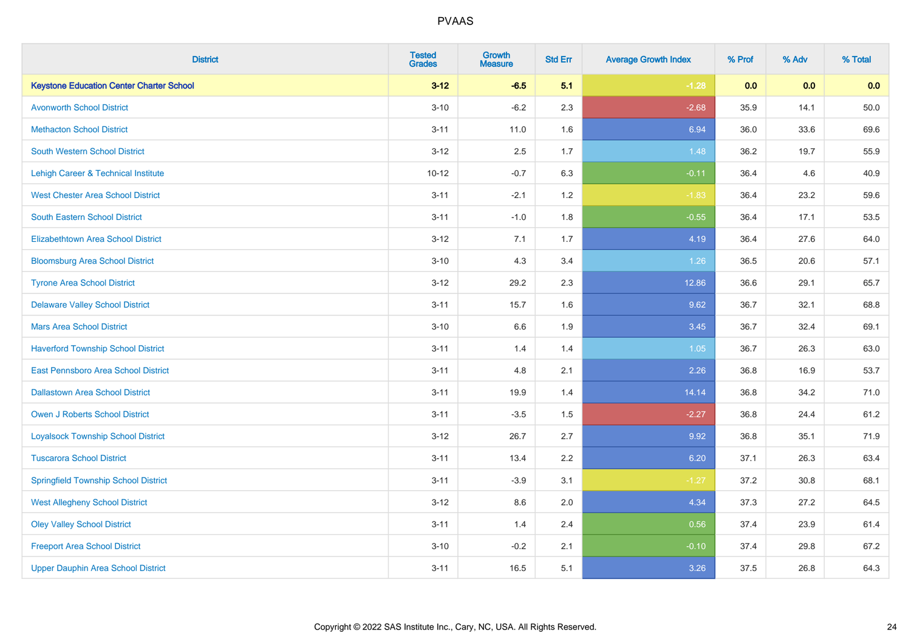| <b>District</b>                                 | <b>Tested</b><br><b>Grades</b> | <b>Growth</b><br><b>Measure</b> | <b>Std Err</b> | <b>Average Growth Index</b> | % Prof | % Adv | % Total  |
|-------------------------------------------------|--------------------------------|---------------------------------|----------------|-----------------------------|--------|-------|----------|
| <b>Keystone Education Center Charter School</b> | $3 - 12$                       | $-6.5$                          | 5.1            | $-1.28$                     | 0.0    | 0.0   | 0.0      |
| <b>Avonworth School District</b>                | $3 - 10$                       | $-6.2$                          | 2.3            | $-2.68$                     | 35.9   | 14.1  | $50.0\,$ |
| <b>Methacton School District</b>                | $3 - 11$                       | 11.0                            | 1.6            | 6.94                        | 36.0   | 33.6  | 69.6     |
| <b>South Western School District</b>            | $3 - 12$                       | 2.5                             | 1.7            | 1.48                        | 36.2   | 19.7  | 55.9     |
| Lehigh Career & Technical Institute             | $10 - 12$                      | $-0.7$                          | 6.3            | $-0.11$                     | 36.4   | 4.6   | 40.9     |
| <b>West Chester Area School District</b>        | $3 - 11$                       | $-2.1$                          | 1.2            | $-1.83$                     | 36.4   | 23.2  | 59.6     |
| South Eastern School District                   | $3 - 11$                       | $-1.0$                          | 1.8            | $-0.55$                     | 36.4   | 17.1  | 53.5     |
| <b>Elizabethtown Area School District</b>       | $3 - 12$                       | 7.1                             | 1.7            | 4.19                        | 36.4   | 27.6  | 64.0     |
| <b>Bloomsburg Area School District</b>          | $3 - 10$                       | 4.3                             | 3.4            | 1.26                        | 36.5   | 20.6  | 57.1     |
| <b>Tyrone Area School District</b>              | $3 - 12$                       | 29.2                            | 2.3            | 12.86                       | 36.6   | 29.1  | 65.7     |
| <b>Delaware Valley School District</b>          | $3 - 11$                       | 15.7                            | 1.6            | 9.62                        | 36.7   | 32.1  | 68.8     |
| <b>Mars Area School District</b>                | $3 - 10$                       | 6.6                             | 1.9            | 3.45                        | 36.7   | 32.4  | 69.1     |
| <b>Haverford Township School District</b>       | $3 - 11$                       | 1.4                             | 1.4            | 1.05                        | 36.7   | 26.3  | 63.0     |
| East Pennsboro Area School District             | $3 - 11$                       | 4.8                             | 2.1            | 2.26                        | 36.8   | 16.9  | 53.7     |
| <b>Dallastown Area School District</b>          | $3 - 11$                       | 19.9                            | 1.4            | 14.14                       | 36.8   | 34.2  | 71.0     |
| <b>Owen J Roberts School District</b>           | $3 - 11$                       | $-3.5$                          | 1.5            | $-2.27$                     | 36.8   | 24.4  | 61.2     |
| <b>Loyalsock Township School District</b>       | $3 - 12$                       | 26.7                            | 2.7            | 9.92                        | 36.8   | 35.1  | 71.9     |
| <b>Tuscarora School District</b>                | $3 - 11$                       | 13.4                            | 2.2            | 6.20                        | 37.1   | 26.3  | 63.4     |
| <b>Springfield Township School District</b>     | $3 - 11$                       | $-3.9$                          | 3.1            | $-1.27$                     | 37.2   | 30.8  | 68.1     |
| <b>West Allegheny School District</b>           | $3-12$                         | 8.6                             | 2.0            | 4.34                        | 37.3   | 27.2  | 64.5     |
| <b>Oley Valley School District</b>              | $3 - 11$                       | 1.4                             | 2.4            | 0.56                        | 37.4   | 23.9  | 61.4     |
| <b>Freeport Area School District</b>            | $3 - 10$                       | $-0.2$                          | 2.1            | $-0.10$                     | 37.4   | 29.8  | 67.2     |
| <b>Upper Dauphin Area School District</b>       | $3 - 11$                       | 16.5                            | 5.1            | 3.26                        | 37.5   | 26.8  | 64.3     |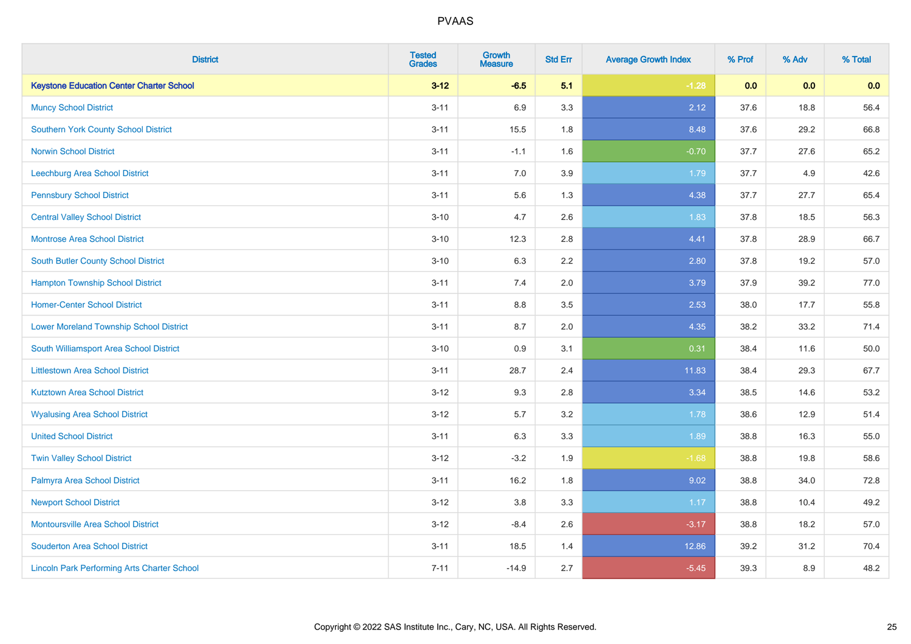| <b>District</b>                                    | <b>Tested</b><br><b>Grades</b> | <b>Growth</b><br><b>Measure</b> | <b>Std Err</b> | <b>Average Growth Index</b> | % Prof | % Adv | % Total |
|----------------------------------------------------|--------------------------------|---------------------------------|----------------|-----------------------------|--------|-------|---------|
| <b>Keystone Education Center Charter School</b>    | $3 - 12$                       | $-6.5$                          | 5.1            | $-1.28$                     | 0.0    | 0.0   | 0.0     |
| <b>Muncy School District</b>                       | $3 - 11$                       | 6.9                             | 3.3            | 2.12                        | 37.6   | 18.8  | 56.4    |
| <b>Southern York County School District</b>        | $3 - 11$                       | 15.5                            | 1.8            | 8.48                        | 37.6   | 29.2  | 66.8    |
| <b>Norwin School District</b>                      | $3 - 11$                       | $-1.1$                          | 1.6            | $-0.70$                     | 37.7   | 27.6  | 65.2    |
| <b>Leechburg Area School District</b>              | $3 - 11$                       | 7.0                             | 3.9            | 1.79                        | 37.7   | 4.9   | 42.6    |
| <b>Pennsbury School District</b>                   | $3 - 11$                       | 5.6                             | 1.3            | 4.38                        | 37.7   | 27.7  | 65.4    |
| <b>Central Valley School District</b>              | $3 - 10$                       | 4.7                             | 2.6            | 1.83                        | 37.8   | 18.5  | 56.3    |
| <b>Montrose Area School District</b>               | $3 - 10$                       | 12.3                            | 2.8            | 4.41                        | 37.8   | 28.9  | 66.7    |
| South Butler County School District                | $3 - 10$                       | 6.3                             | 2.2            | 2.80                        | 37.8   | 19.2  | 57.0    |
| <b>Hampton Township School District</b>            | $3 - 11$                       | 7.4                             | 2.0            | 3.79                        | 37.9   | 39.2  | 77.0    |
| <b>Homer-Center School District</b>                | $3 - 11$                       | 8.8                             | 3.5            | 2.53                        | 38.0   | 17.7  | 55.8    |
| <b>Lower Moreland Township School District</b>     | $3 - 11$                       | 8.7                             | 2.0            | 4.35                        | 38.2   | 33.2  | 71.4    |
| South Williamsport Area School District            | $3 - 10$                       | $0.9\,$                         | 3.1            | 0.31                        | 38.4   | 11.6  | 50.0    |
| <b>Littlestown Area School District</b>            | $3 - 11$                       | 28.7                            | 2.4            | 11.83                       | 38.4   | 29.3  | 67.7    |
| <b>Kutztown Area School District</b>               | $3 - 12$                       | 9.3                             | 2.8            | 3.34                        | 38.5   | 14.6  | 53.2    |
| <b>Wyalusing Area School District</b>              | $3 - 12$                       | 5.7                             | 3.2            | 1.78                        | 38.6   | 12.9  | 51.4    |
| <b>United School District</b>                      | $3 - 11$                       | 6.3                             | 3.3            | 1.89                        | 38.8   | 16.3  | 55.0    |
| <b>Twin Valley School District</b>                 | $3 - 12$                       | $-3.2$                          | 1.9            | $-1.68$                     | 38.8   | 19.8  | 58.6    |
| Palmyra Area School District                       | $3 - 11$                       | 16.2                            | 1.8            | 9.02                        | 38.8   | 34.0  | 72.8    |
| <b>Newport School District</b>                     | $3 - 12$                       | 3.8                             | 3.3            | 1.17                        | 38.8   | 10.4  | 49.2    |
| Montoursville Area School District                 | $3-12$                         | $-8.4$                          | 2.6            | $-3.17$                     | 38.8   | 18.2  | 57.0    |
| <b>Souderton Area School District</b>              | $3 - 11$                       | 18.5                            | 1.4            | 12.86                       | 39.2   | 31.2  | 70.4    |
| <b>Lincoln Park Performing Arts Charter School</b> | $7 - 11$                       | $-14.9$                         | 2.7            | $-5.45$                     | 39.3   | 8.9   | 48.2    |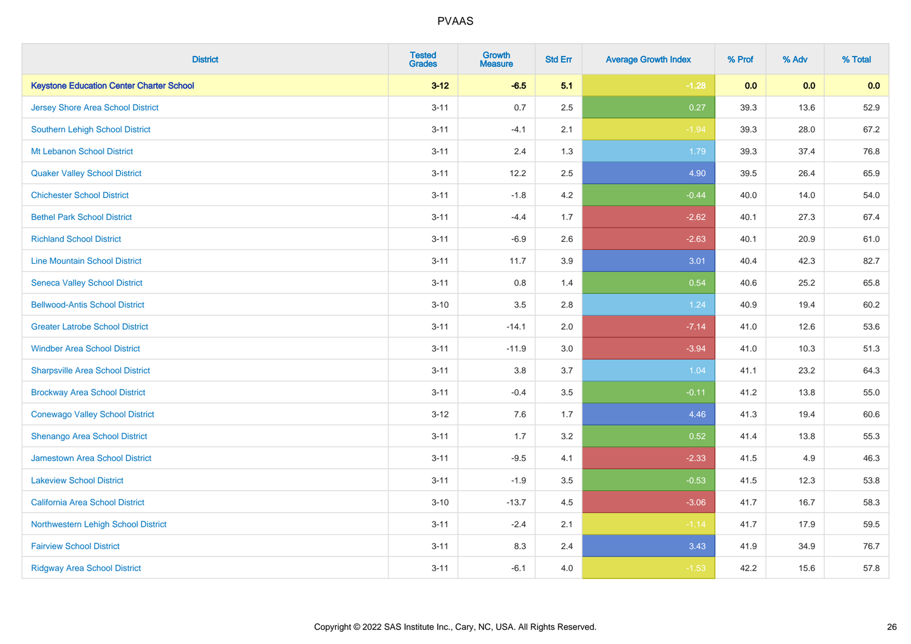| <b>District</b>                                 | <b>Tested</b><br><b>Grades</b> | Growth<br><b>Measure</b> | <b>Std Err</b> | <b>Average Growth Index</b> | % Prof | % Adv | % Total |
|-------------------------------------------------|--------------------------------|--------------------------|----------------|-----------------------------|--------|-------|---------|
| <b>Keystone Education Center Charter School</b> | $3 - 12$                       | $-6.5$                   | 5.1            | $-1.28$                     | 0.0    | 0.0   | 0.0     |
| Jersey Shore Area School District               | $3 - 11$                       | 0.7                      | 2.5            | 0.27                        | 39.3   | 13.6  | 52.9    |
| Southern Lehigh School District                 | $3 - 11$                       | $-4.1$                   | 2.1            | $-1.94$                     | 39.3   | 28.0  | 67.2    |
| Mt Lebanon School District                      | $3 - 11$                       | 2.4                      | 1.3            | 1.79                        | 39.3   | 37.4  | 76.8    |
| <b>Quaker Valley School District</b>            | $3 - 11$                       | 12.2                     | 2.5            | 4.90                        | 39.5   | 26.4  | 65.9    |
| <b>Chichester School District</b>               | $3 - 11$                       | $-1.8$                   | 4.2            | $-0.44$                     | 40.0   | 14.0  | 54.0    |
| <b>Bethel Park School District</b>              | $3 - 11$                       | $-4.4$                   | 1.7            | $-2.62$                     | 40.1   | 27.3  | 67.4    |
| <b>Richland School District</b>                 | $3 - 11$                       | $-6.9$                   | 2.6            | $-2.63$                     | 40.1   | 20.9  | 61.0    |
| <b>Line Mountain School District</b>            | $3 - 11$                       | 11.7                     | 3.9            | 3.01                        | 40.4   | 42.3  | 82.7    |
| <b>Seneca Valley School District</b>            | $3 - 11$                       | 0.8                      | 1.4            | 0.54                        | 40.6   | 25.2  | 65.8    |
| <b>Bellwood-Antis School District</b>           | $3 - 10$                       | 3.5                      | $2.8\,$        | 1.24                        | 40.9   | 19.4  | 60.2    |
| <b>Greater Latrobe School District</b>          | $3 - 11$                       | $-14.1$                  | 2.0            | $-7.14$                     | 41.0   | 12.6  | 53.6    |
| <b>Windber Area School District</b>             | $3 - 11$                       | $-11.9$                  | 3.0            | $-3.94$                     | 41.0   | 10.3  | 51.3    |
| <b>Sharpsville Area School District</b>         | $3 - 11$                       | 3.8                      | 3.7            | 1.04                        | 41.1   | 23.2  | 64.3    |
| <b>Brockway Area School District</b>            | $3 - 11$                       | $-0.4$                   | $3.5\,$        | $-0.11$                     | 41.2   | 13.8  | 55.0    |
| <b>Conewago Valley School District</b>          | $3 - 12$                       | 7.6                      | 1.7            | 4.46                        | 41.3   | 19.4  | 60.6    |
| Shenango Area School District                   | $3 - 11$                       | 1.7                      | 3.2            | 0.52                        | 41.4   | 13.8  | 55.3    |
| Jamestown Area School District                  | $3 - 11$                       | $-9.5$                   | 4.1            | $-2.33$                     | 41.5   | 4.9   | 46.3    |
| <b>Lakeview School District</b>                 | $3 - 11$                       | $-1.9$                   | $3.5\,$        | $-0.53$                     | 41.5   | 12.3  | 53.8    |
| California Area School District                 | $3 - 10$                       | $-13.7$                  | 4.5            | $-3.06$                     | 41.7   | 16.7  | 58.3    |
| Northwestern Lehigh School District             | $3 - 11$                       | $-2.4$                   | 2.1            | $-1.14$                     | 41.7   | 17.9  | 59.5    |
| <b>Fairview School District</b>                 | $3 - 11$                       | 8.3                      | 2.4            | 3.43                        | 41.9   | 34.9  | 76.7    |
| <b>Ridgway Area School District</b>             | $3 - 11$                       | $-6.1$                   | 4.0            | $-1.53$                     | 42.2   | 15.6  | 57.8    |